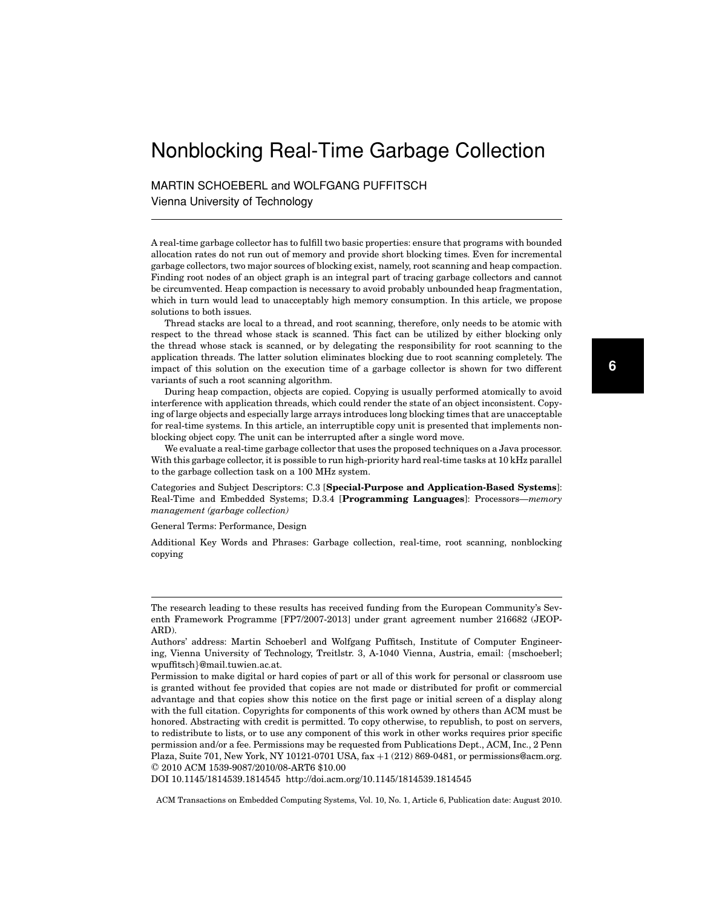# Nonblocking Real-Time Garbage Collection

MARTIN SCHOEBERL and WOLFGANG PUFFITSCH Vienna University of Technology

A real-time garbage collector has to fulfill two basic properties: ensure that programs with bounded allocation rates do not run out of memory and provide short blocking times. Even for incremental garbage collectors, two major sources of blocking exist, namely, root scanning and heap compaction. Finding root nodes of an object graph is an integral part of tracing garbage collectors and cannot be circumvented. Heap compaction is necessary to avoid probably unbounded heap fragmentation, which in turn would lead to unacceptably high memory consumption. In this article, we propose solutions to both issues.

Thread stacks are local to a thread, and root scanning, therefore, only needs to be atomic with respect to the thread whose stack is scanned. This fact can be utilized by either blocking only the thread whose stack is scanned, or by delegating the responsibility for root scanning to the application threads. The latter solution eliminates blocking due to root scanning completely. The impact of this solution on the execution time of a garbage collector is shown for two different variants of such a root scanning algorithm.

During heap compaction, objects are copied. Copying is usually performed atomically to avoid interference with application threads, which could render the state of an object inconsistent. Copying of large objects and especially large arrays introduces long blocking times that are unacceptable for real-time systems. In this article, an interruptible copy unit is presented that implements nonblocking object copy. The unit can be interrupted after a single word move.

We evaluate a real-time garbage collector that uses the proposed techniques on a Java processor. With this garbage collector, it is possible to run high-priority hard real-time tasks at 10 kHz parallel to the garbage collection task on a 100 MHz system.

Categories and Subject Descriptors: C.3 [**Special-Purpose and Application-Based Systems**]: Real-Time and Embedded Systems; D.3.4 [**Programming Languages**]: Processors—*memory management (garbage collection)*

General Terms: Performance, Design

Additional Key Words and Phrases: Garbage collection, real-time, root scanning, nonblocking copying

DOI 10.1145/1814539.1814545 http://doi.acm.org/10.1145/1814539.1814545

The research leading to these results has received funding from the European Community's Seventh Framework Programme [FP7/2007-2013] under grant agreement number 216682 (JEOP-ARD).

Authors' address: Martin Schoeberl and Wolfgang Puffitsch, Institute of Computer Engineering, Vienna University of Technology, Treitlstr. 3, A-1040 Vienna, Austria, email: {mschoeberl; wpuffitsch}@mail.tuwien.ac.at.

Permission to make digital or hard copies of part or all of this work for personal or classroom use is granted without fee provided that copies are not made or distributed for profit or commercial advantage and that copies show this notice on the first page or initial screen of a display along with the full citation. Copyrights for components of this work owned by others than ACM must be honored. Abstracting with credit is permitted. To copy otherwise, to republish, to post on servers, to redistribute to lists, or to use any component of this work in other works requires prior specific permission and/or a fee. Permissions may be requested from Publications Dept., ACM, Inc., 2 Penn Plaza, Suite 701, New York, NY 10121-0701 USA, fax +1 (212) 869-0481, or permissions@acm.org. -C 2010 ACM 1539-9087/2010/08-ART6 \$10.00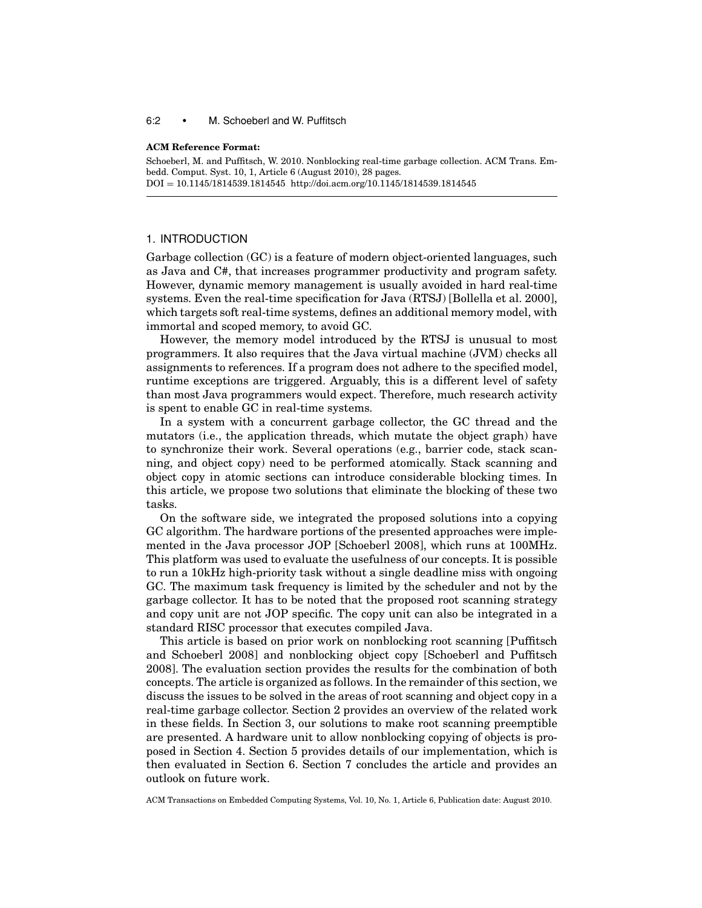#### 6:2 • M. Schoeberl and W. Puffitsch

#### **ACM Reference Format:**

Schoeberl, M. and Puffitsch, W. 2010. Nonblocking real-time garbage collection. ACM Trans. Embedd. Comput. Syst. 10, 1, Article 6 (August 2010), 28 pages. DOI = 10.1145/1814539.1814545 http://doi.acm.org/10.1145/1814539.1814545

## 1. INTRODUCTION

Garbage collection (GC) is a feature of modern object-oriented languages, such as Java and C#, that increases programmer productivity and program safety. However, dynamic memory management is usually avoided in hard real-time systems. Even the real-time specification for Java (RTSJ) [Bollella et al. 2000], which targets soft real-time systems, defines an additional memory model, with immortal and scoped memory, to avoid GC.

However, the memory model introduced by the RTSJ is unusual to most programmers. It also requires that the Java virtual machine (JVM) checks all assignments to references. If a program does not adhere to the specified model, runtime exceptions are triggered. Arguably, this is a different level of safety than most Java programmers would expect. Therefore, much research activity is spent to enable GC in real-time systems.

In a system with a concurrent garbage collector, the GC thread and the mutators (i.e., the application threads, which mutate the object graph) have to synchronize their work. Several operations (e.g., barrier code, stack scanning, and object copy) need to be performed atomically. Stack scanning and object copy in atomic sections can introduce considerable blocking times. In this article, we propose two solutions that eliminate the blocking of these two tasks.

On the software side, we integrated the proposed solutions into a copying GC algorithm. The hardware portions of the presented approaches were implemented in the Java processor JOP [Schoeberl 2008], which runs at 100MHz. This platform was used to evaluate the usefulness of our concepts. It is possible to run a 10kHz high-priority task without a single deadline miss with ongoing GC. The maximum task frequency is limited by the scheduler and not by the garbage collector. It has to be noted that the proposed root scanning strategy and copy unit are not JOP specific. The copy unit can also be integrated in a standard RISC processor that executes compiled Java.

This article is based on prior work on nonblocking root scanning [Puffitsch and Schoeberl 2008] and nonblocking object copy [Schoeberl and Puffitsch 2008]. The evaluation section provides the results for the combination of both concepts. The article is organized as follows. In the remainder of this section, we discuss the issues to be solved in the areas of root scanning and object copy in a real-time garbage collector. Section 2 provides an overview of the related work in these fields. In Section 3, our solutions to make root scanning preemptible are presented. A hardware unit to allow nonblocking copying of objects is proposed in Section 4. Section 5 provides details of our implementation, which is then evaluated in Section 6. Section 7 concludes the article and provides an outlook on future work.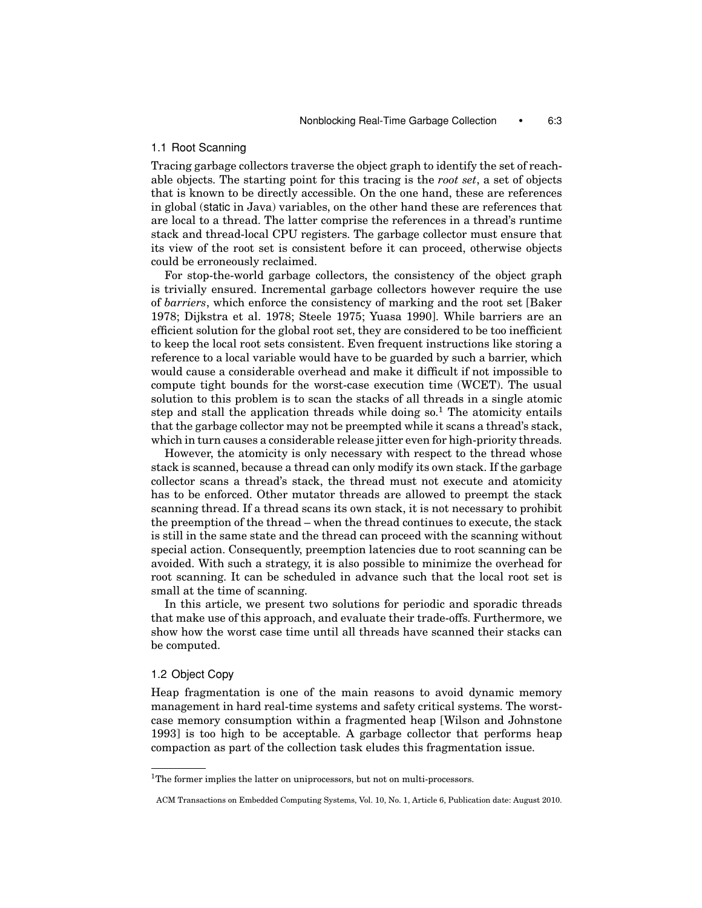## 1.1 Root Scanning

Tracing garbage collectors traverse the object graph to identify the set of reachable objects. The starting point for this tracing is the *root set*, a set of objects that is known to be directly accessible. On the one hand, these are references in global (static in Java) variables, on the other hand these are references that are local to a thread. The latter comprise the references in a thread's runtime stack and thread-local CPU registers. The garbage collector must ensure that its view of the root set is consistent before it can proceed, otherwise objects could be erroneously reclaimed.

For stop-the-world garbage collectors, the consistency of the object graph is trivially ensured. Incremental garbage collectors however require the use of *barriers*, which enforce the consistency of marking and the root set [Baker 1978; Dijkstra et al. 1978; Steele 1975; Yuasa 1990]. While barriers are an efficient solution for the global root set, they are considered to be too inefficient to keep the local root sets consistent. Even frequent instructions like storing a reference to a local variable would have to be guarded by such a barrier, which would cause a considerable overhead and make it difficult if not impossible to compute tight bounds for the worst-case execution time (WCET). The usual solution to this problem is to scan the stacks of all threads in a single atomic step and stall the application threads while doing  $\text{so}^1$ . The atomicity entails that the garbage collector may not be preempted while it scans a thread's stack, which in turn causes a considerable release jitter even for high-priority threads.

However, the atomicity is only necessary with respect to the thread whose stack is scanned, because a thread can only modify its own stack. If the garbage collector scans a thread's stack, the thread must not execute and atomicity has to be enforced. Other mutator threads are allowed to preempt the stack scanning thread. If a thread scans its own stack, it is not necessary to prohibit the preemption of the thread – when the thread continues to execute, the stack is still in the same state and the thread can proceed with the scanning without special action. Consequently, preemption latencies due to root scanning can be avoided. With such a strategy, it is also possible to minimize the overhead for root scanning. It can be scheduled in advance such that the local root set is small at the time of scanning.

In this article, we present two solutions for periodic and sporadic threads that make use of this approach, and evaluate their trade-offs. Furthermore, we show how the worst case time until all threads have scanned their stacks can be computed.

## 1.2 Object Copy

Heap fragmentation is one of the main reasons to avoid dynamic memory management in hard real-time systems and safety critical systems. The worstcase memory consumption within a fragmented heap [Wilson and Johnstone 1993] is too high to be acceptable. A garbage collector that performs heap compaction as part of the collection task eludes this fragmentation issue.

<sup>&</sup>lt;sup>1</sup>The former implies the latter on uniprocessors, but not on multi-processors.

ACM Transactions on Embedded Computing Systems, Vol. 10, No. 1, Article 6, Publication date: August 2010.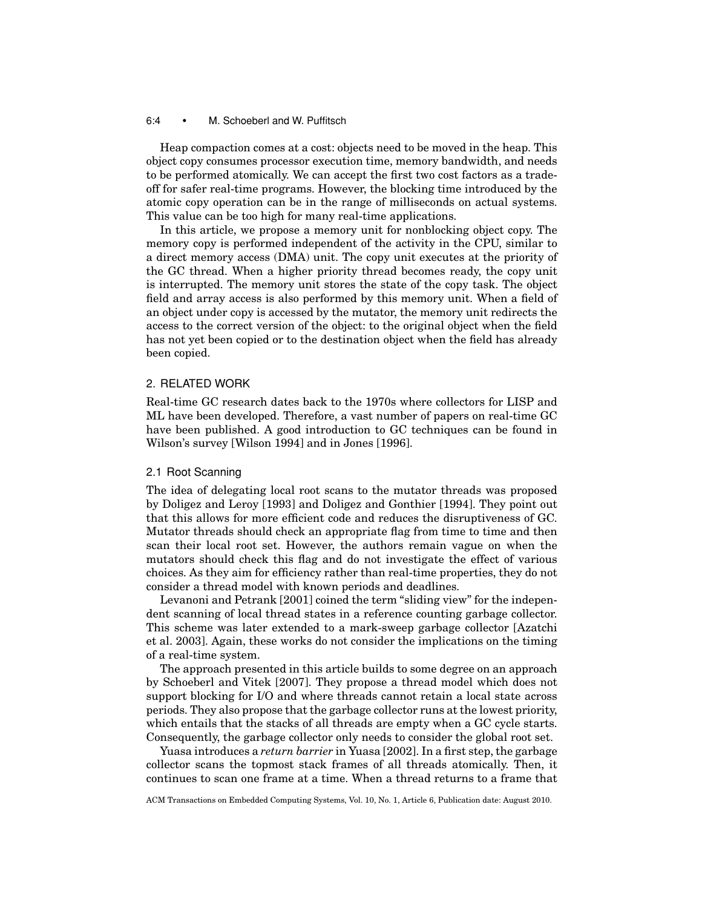#### 6:4 • M. Schoeberl and W. Puffitsch

Heap compaction comes at a cost: objects need to be moved in the heap. This object copy consumes processor execution time, memory bandwidth, and needs to be performed atomically. We can accept the first two cost factors as a tradeoff for safer real-time programs. However, the blocking time introduced by the atomic copy operation can be in the range of milliseconds on actual systems. This value can be too high for many real-time applications.

In this article, we propose a memory unit for nonblocking object copy. The memory copy is performed independent of the activity in the CPU, similar to a direct memory access (DMA) unit. The copy unit executes at the priority of the GC thread. When a higher priority thread becomes ready, the copy unit is interrupted. The memory unit stores the state of the copy task. The object field and array access is also performed by this memory unit. When a field of an object under copy is accessed by the mutator, the memory unit redirects the access to the correct version of the object: to the original object when the field has not yet been copied or to the destination object when the field has already been copied.

# 2. RELATED WORK

Real-time GC research dates back to the 1970s where collectors for LISP and ML have been developed. Therefore, a vast number of papers on real-time GC have been published. A good introduction to GC techniques can be found in Wilson's survey [Wilson 1994] and in Jones [1996].

## 2.1 Root Scanning

The idea of delegating local root scans to the mutator threads was proposed by Doligez and Leroy [1993] and Doligez and Gonthier [1994]. They point out that this allows for more efficient code and reduces the disruptiveness of GC. Mutator threads should check an appropriate flag from time to time and then scan their local root set. However, the authors remain vague on when the mutators should check this flag and do not investigate the effect of various choices. As they aim for efficiency rather than real-time properties, they do not consider a thread model with known periods and deadlines.

Levanoni and Petrank [2001] coined the term "sliding view" for the independent scanning of local thread states in a reference counting garbage collector. This scheme was later extended to a mark-sweep garbage collector [Azatchi et al. 2003]. Again, these works do not consider the implications on the timing of a real-time system.

The approach presented in this article builds to some degree on an approach by Schoeberl and Vitek [2007]. They propose a thread model which does not support blocking for I/O and where threads cannot retain a local state across periods. They also propose that the garbage collector runs at the lowest priority, which entails that the stacks of all threads are empty when a GC cycle starts. Consequently, the garbage collector only needs to consider the global root set.

Yuasa introduces a *return barrier* in Yuasa [2002]. In a first step, the garbage collector scans the topmost stack frames of all threads atomically. Then, it continues to scan one frame at a time. When a thread returns to a frame that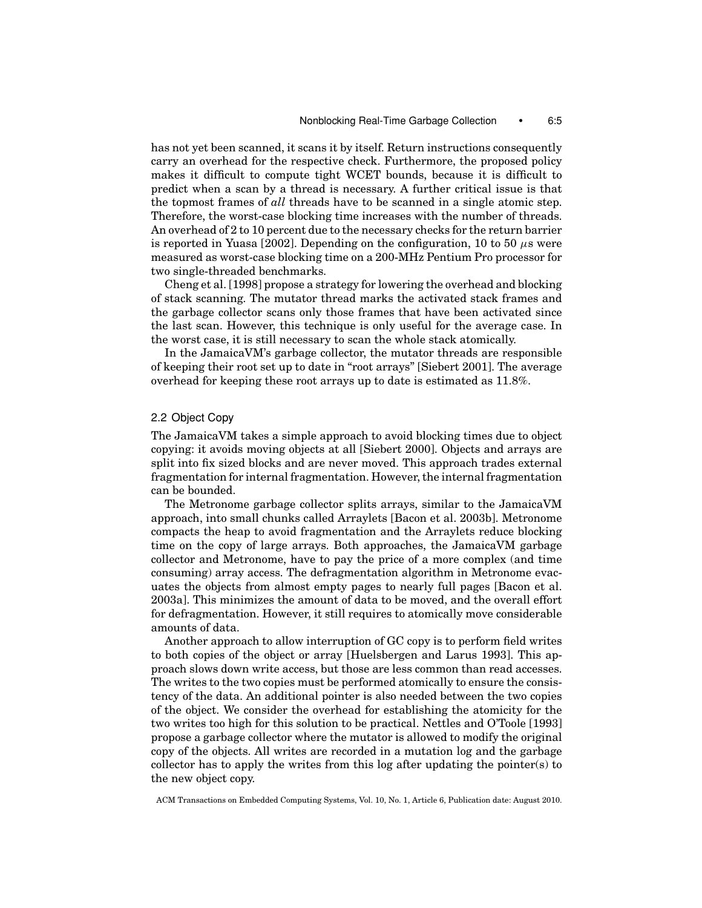has not yet been scanned, it scans it by itself. Return instructions consequently carry an overhead for the respective check. Furthermore, the proposed policy makes it difficult to compute tight WCET bounds, because it is difficult to predict when a scan by a thread is necessary. A further critical issue is that the topmost frames of *all* threads have to be scanned in a single atomic step. Therefore, the worst-case blocking time increases with the number of threads. An overhead of 2 to 10 percent due to the necessary checks for the return barrier is reported in Yuasa [2002]. Depending on the configuration, 10 to 50  $\mu$ s were measured as worst-case blocking time on a 200-MHz Pentium Pro processor for two single-threaded benchmarks.

Cheng et al. [1998] propose a strategy for lowering the overhead and blocking of stack scanning. The mutator thread marks the activated stack frames and the garbage collector scans only those frames that have been activated since the last scan. However, this technique is only useful for the average case. In the worst case, it is still necessary to scan the whole stack atomically.

In the JamaicaVM's garbage collector, the mutator threads are responsible of keeping their root set up to date in "root arrays" [Siebert 2001]. The average overhead for keeping these root arrays up to date is estimated as 11.8%.

## 2.2 Object Copy

The JamaicaVM takes a simple approach to avoid blocking times due to object copying: it avoids moving objects at all [Siebert 2000]. Objects and arrays are split into fix sized blocks and are never moved. This approach trades external fragmentation for internal fragmentation. However, the internal fragmentation can be bounded.

The Metronome garbage collector splits arrays, similar to the JamaicaVM approach, into small chunks called Arraylets [Bacon et al. 2003b]. Metronome compacts the heap to avoid fragmentation and the Arraylets reduce blocking time on the copy of large arrays. Both approaches, the JamaicaVM garbage collector and Metronome, have to pay the price of a more complex (and time consuming) array access. The defragmentation algorithm in Metronome evacuates the objects from almost empty pages to nearly full pages [Bacon et al. 2003a]. This minimizes the amount of data to be moved, and the overall effort for defragmentation. However, it still requires to atomically move considerable amounts of data.

Another approach to allow interruption of GC copy is to perform field writes to both copies of the object or array [Huelsbergen and Larus 1993]. This approach slows down write access, but those are less common than read accesses. The writes to the two copies must be performed atomically to ensure the consistency of the data. An additional pointer is also needed between the two copies of the object. We consider the overhead for establishing the atomicity for the two writes too high for this solution to be practical. Nettles and O'Toole [1993] propose a garbage collector where the mutator is allowed to modify the original copy of the objects. All writes are recorded in a mutation log and the garbage collector has to apply the writes from this log after updating the pointer(s) to the new object copy.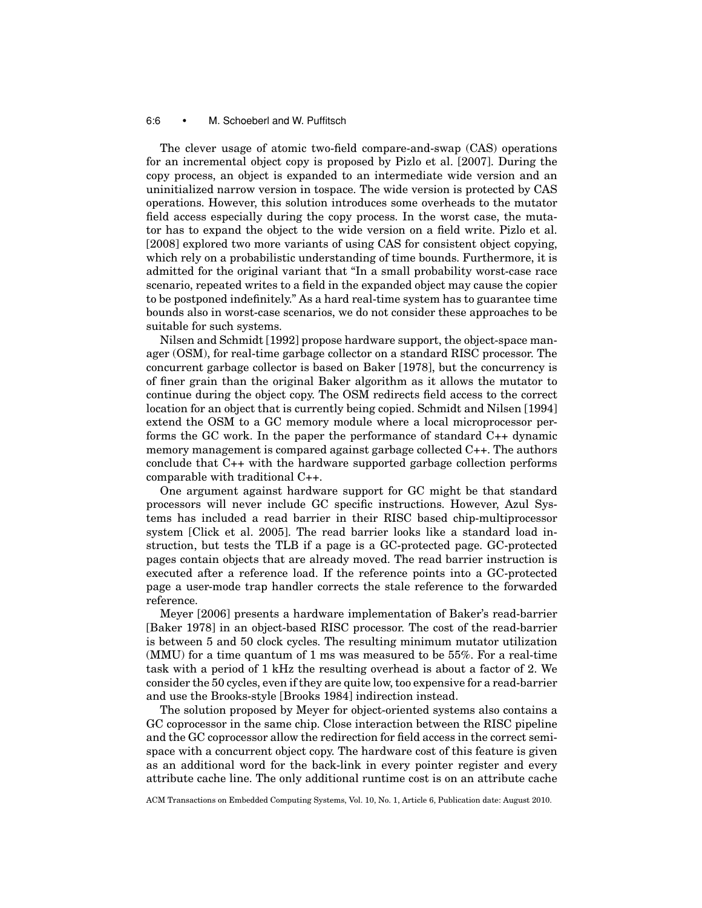#### 6:6 • M. Schoeberl and W. Puffitsch

The clever usage of atomic two-field compare-and-swap (CAS) operations for an incremental object copy is proposed by Pizlo et al. [2007]. During the copy process, an object is expanded to an intermediate wide version and an uninitialized narrow version in tospace. The wide version is protected by CAS operations. However, this solution introduces some overheads to the mutator field access especially during the copy process. In the worst case, the mutator has to expand the object to the wide version on a field write. Pizlo et al. [2008] explored two more variants of using CAS for consistent object copying, which rely on a probabilistic understanding of time bounds. Furthermore, it is admitted for the original variant that "In a small probability worst-case race scenario, repeated writes to a field in the expanded object may cause the copier to be postponed indefinitely." As a hard real-time system has to guarantee time bounds also in worst-case scenarios, we do not consider these approaches to be suitable for such systems.

Nilsen and Schmidt [1992] propose hardware support, the object-space manager (OSM), for real-time garbage collector on a standard RISC processor. The concurrent garbage collector is based on Baker [1978], but the concurrency is of finer grain than the original Baker algorithm as it allows the mutator to continue during the object copy. The OSM redirects field access to the correct location for an object that is currently being copied. Schmidt and Nilsen [1994] extend the OSM to a GC memory module where a local microprocessor performs the GC work. In the paper the performance of standard C++ dynamic memory management is compared against garbage collected C++. The authors conclude that C++ with the hardware supported garbage collection performs comparable with traditional C++.

One argument against hardware support for GC might be that standard processors will never include GC specific instructions. However, Azul Systems has included a read barrier in their RISC based chip-multiprocessor system [Click et al. 2005]. The read barrier looks like a standard load instruction, but tests the TLB if a page is a GC-protected page. GC-protected pages contain objects that are already moved. The read barrier instruction is executed after a reference load. If the reference points into a GC-protected page a user-mode trap handler corrects the stale reference to the forwarded reference.

Meyer [2006] presents a hardware implementation of Baker's read-barrier [Baker 1978] in an object-based RISC processor. The cost of the read-barrier is between 5 and 50 clock cycles. The resulting minimum mutator utilization (MMU) for a time quantum of 1 ms was measured to be 55%. For a real-time task with a period of 1 kHz the resulting overhead is about a factor of 2. We consider the 50 cycles, even if they are quite low, too expensive for a read-barrier and use the Brooks-style [Brooks 1984] indirection instead.

The solution proposed by Meyer for object-oriented systems also contains a GC coprocessor in the same chip. Close interaction between the RISC pipeline and the GC coprocessor allow the redirection for field access in the correct semispace with a concurrent object copy. The hardware cost of this feature is given as an additional word for the back-link in every pointer register and every attribute cache line. The only additional runtime cost is on an attribute cache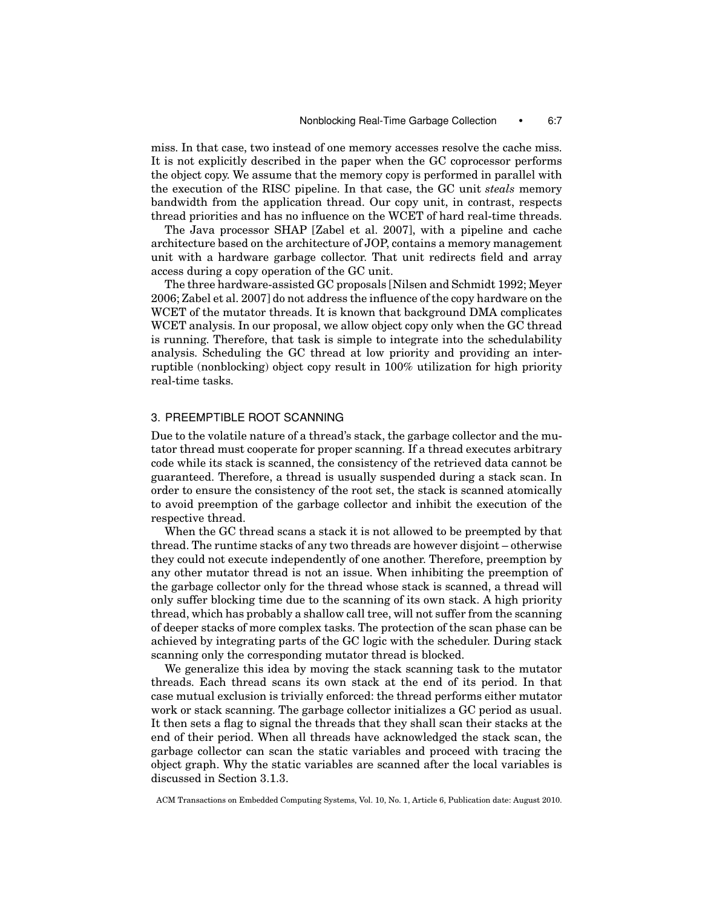miss. In that case, two instead of one memory accesses resolve the cache miss. It is not explicitly described in the paper when the GC coprocessor performs the object copy. We assume that the memory copy is performed in parallel with the execution of the RISC pipeline. In that case, the GC unit *steals* memory bandwidth from the application thread. Our copy unit, in contrast, respects thread priorities and has no influence on the WCET of hard real-time threads.

The Java processor SHAP [Zabel et al. 2007], with a pipeline and cache architecture based on the architecture of JOP, contains a memory management unit with a hardware garbage collector. That unit redirects field and array access during a copy operation of the GC unit.

The three hardware-assisted GC proposals [Nilsen and Schmidt 1992; Meyer 2006; Zabel et al. 2007] do not address the influence of the copy hardware on the WCET of the mutator threads. It is known that background DMA complicates WCET analysis. In our proposal, we allow object copy only when the GC thread is running. Therefore, that task is simple to integrate into the schedulability analysis. Scheduling the GC thread at low priority and providing an interruptible (nonblocking) object copy result in 100% utilization for high priority real-time tasks.

# 3. PREEMPTIBLE ROOT SCANNING

Due to the volatile nature of a thread's stack, the garbage collector and the mutator thread must cooperate for proper scanning. If a thread executes arbitrary code while its stack is scanned, the consistency of the retrieved data cannot be guaranteed. Therefore, a thread is usually suspended during a stack scan. In order to ensure the consistency of the root set, the stack is scanned atomically to avoid preemption of the garbage collector and inhibit the execution of the respective thread.

When the GC thread scans a stack it is not allowed to be preempted by that thread. The runtime stacks of any two threads are however disjoint – otherwise they could not execute independently of one another. Therefore, preemption by any other mutator thread is not an issue. When inhibiting the preemption of the garbage collector only for the thread whose stack is scanned, a thread will only suffer blocking time due to the scanning of its own stack. A high priority thread, which has probably a shallow call tree, will not suffer from the scanning of deeper stacks of more complex tasks. The protection of the scan phase can be achieved by integrating parts of the GC logic with the scheduler. During stack scanning only the corresponding mutator thread is blocked.

We generalize this idea by moving the stack scanning task to the mutator threads. Each thread scans its own stack at the end of its period. In that case mutual exclusion is trivially enforced: the thread performs either mutator work or stack scanning. The garbage collector initializes a GC period as usual. It then sets a flag to signal the threads that they shall scan their stacks at the end of their period. When all threads have acknowledged the stack scan, the garbage collector can scan the static variables and proceed with tracing the object graph. Why the static variables are scanned after the local variables is discussed in Section 3.1.3.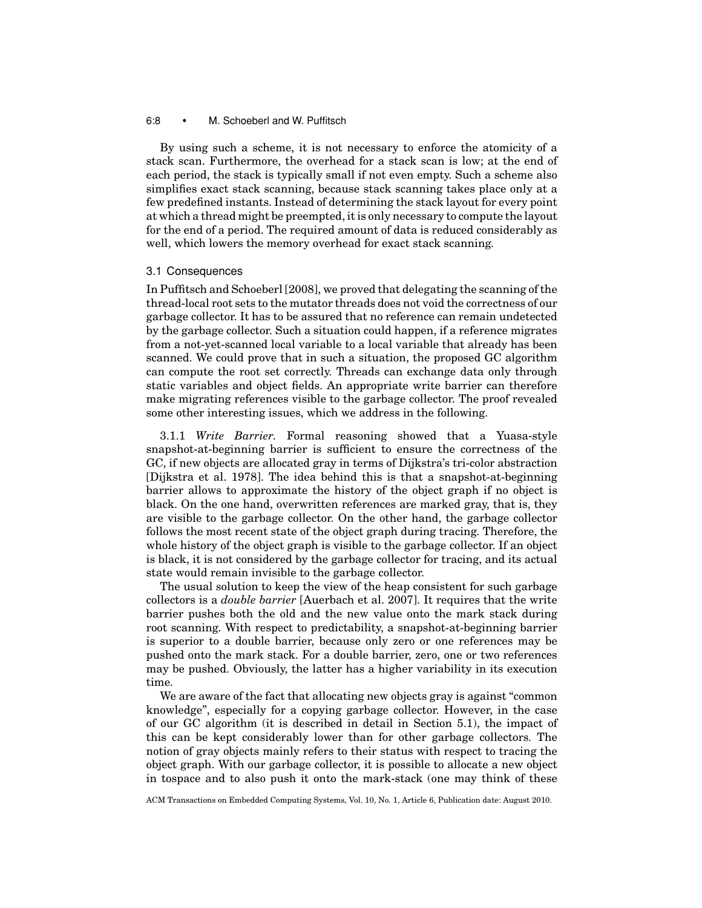## 6:8 • M. Schoeberl and W. Puffitsch

By using such a scheme, it is not necessary to enforce the atomicity of a stack scan. Furthermore, the overhead for a stack scan is low; at the end of each period, the stack is typically small if not even empty. Such a scheme also simplifies exact stack scanning, because stack scanning takes place only at a few predefined instants. Instead of determining the stack layout for every point at which a thread might be preempted, it is only necessary to compute the layout for the end of a period. The required amount of data is reduced considerably as well, which lowers the memory overhead for exact stack scanning.

#### 3.1 Consequences

In Puffitsch and Schoeberl [2008], we proved that delegating the scanning of the thread-local root sets to the mutator threads does not void the correctness of our garbage collector. It has to be assured that no reference can remain undetected by the garbage collector. Such a situation could happen, if a reference migrates from a not-yet-scanned local variable to a local variable that already has been scanned. We could prove that in such a situation, the proposed GC algorithm can compute the root set correctly. Threads can exchange data only through static variables and object fields. An appropriate write barrier can therefore make migrating references visible to the garbage collector. The proof revealed some other interesting issues, which we address in the following.

3.1.1 *Write Barrier.* Formal reasoning showed that a Yuasa-style snapshot-at-beginning barrier is sufficient to ensure the correctness of the GC, if new objects are allocated gray in terms of Dijkstra's tri-color abstraction [Dijkstra et al. 1978]. The idea behind this is that a snapshot-at-beginning barrier allows to approximate the history of the object graph if no object is black. On the one hand, overwritten references are marked gray, that is, they are visible to the garbage collector. On the other hand, the garbage collector follows the most recent state of the object graph during tracing. Therefore, the whole history of the object graph is visible to the garbage collector. If an object is black, it is not considered by the garbage collector for tracing, and its actual state would remain invisible to the garbage collector.

The usual solution to keep the view of the heap consistent for such garbage collectors is a *double barrier* [Auerbach et al. 2007]. It requires that the write barrier pushes both the old and the new value onto the mark stack during root scanning. With respect to predictability, a snapshot-at-beginning barrier is superior to a double barrier, because only zero or one references may be pushed onto the mark stack. For a double barrier, zero, one or two references may be pushed. Obviously, the latter has a higher variability in its execution time.

We are aware of the fact that allocating new objects gray is against "common knowledge", especially for a copying garbage collector. However, in the case of our GC algorithm (it is described in detail in Section 5.1), the impact of this can be kept considerably lower than for other garbage collectors. The notion of gray objects mainly refers to their status with respect to tracing the object graph. With our garbage collector, it is possible to allocate a new object in tospace and to also push it onto the mark-stack (one may think of these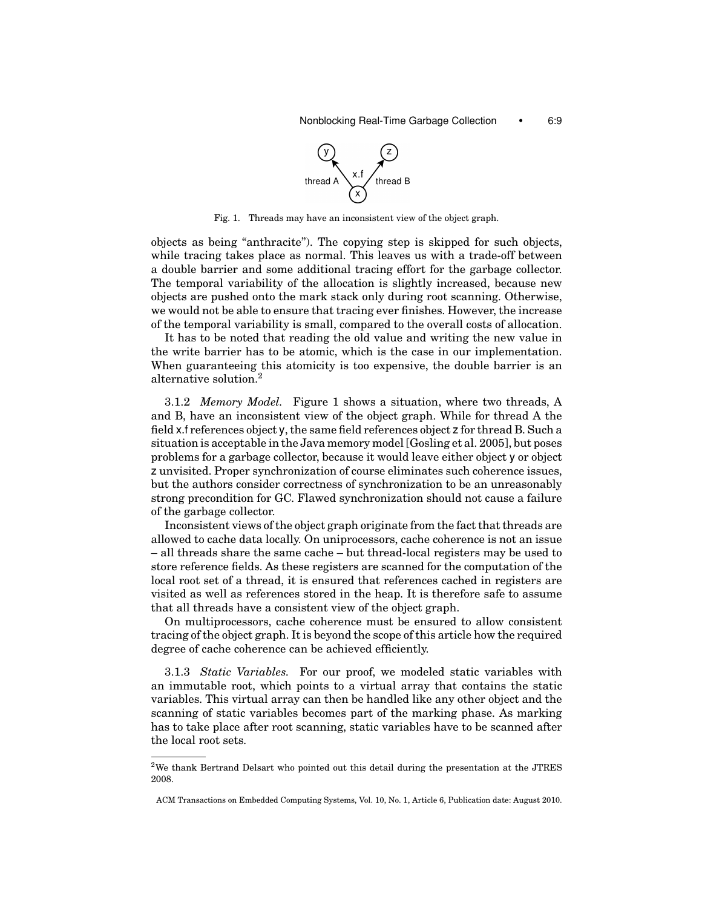

Fig. 1. Threads may have an inconsistent view of the object graph.

objects as being "anthracite"). The copying step is skipped for such objects, while tracing takes place as normal. This leaves us with a trade-off between a double barrier and some additional tracing effort for the garbage collector. The temporal variability of the allocation is slightly increased, because new objects are pushed onto the mark stack only during root scanning. Otherwise, we would not be able to ensure that tracing ever finishes. However, the increase of the temporal variability is small, compared to the overall costs of allocation.

It has to be noted that reading the old value and writing the new value in the write barrier has to be atomic, which is the case in our implementation. When guaranteeing this atomicity is too expensive, the double barrier is an alternative solution.<sup>2</sup>

3.1.2 *Memory Model.* Figure 1 shows a situation, where two threads, A and B, have an inconsistent view of the object graph. While for thread A the field x.f references object y, the same field references object z for thread B. Such a situation is acceptable in the Java memory model [Gosling et al. 2005], but poses problems for a garbage collector, because it would leave either object y or object z unvisited. Proper synchronization of course eliminates such coherence issues, but the authors consider correctness of synchronization to be an unreasonably strong precondition for GC. Flawed synchronization should not cause a failure of the garbage collector.

Inconsistent views of the object graph originate from the fact that threads are allowed to cache data locally. On uniprocessors, cache coherence is not an issue – all threads share the same cache – but thread-local registers may be used to store reference fields. As these registers are scanned for the computation of the local root set of a thread, it is ensured that references cached in registers are visited as well as references stored in the heap. It is therefore safe to assume that all threads have a consistent view of the object graph.

On multiprocessors, cache coherence must be ensured to allow consistent tracing of the object graph. It is beyond the scope of this article how the required degree of cache coherence can be achieved efficiently.

3.1.3 *Static Variables.* For our proof, we modeled static variables with an immutable root, which points to a virtual array that contains the static variables. This virtual array can then be handled like any other object and the scanning of static variables becomes part of the marking phase. As marking has to take place after root scanning, static variables have to be scanned after the local root sets.

<sup>2</sup>We thank Bertrand Delsart who pointed out this detail during the presentation at the JTRES 2008.

ACM Transactions on Embedded Computing Systems, Vol. 10, No. 1, Article 6, Publication date: August 2010.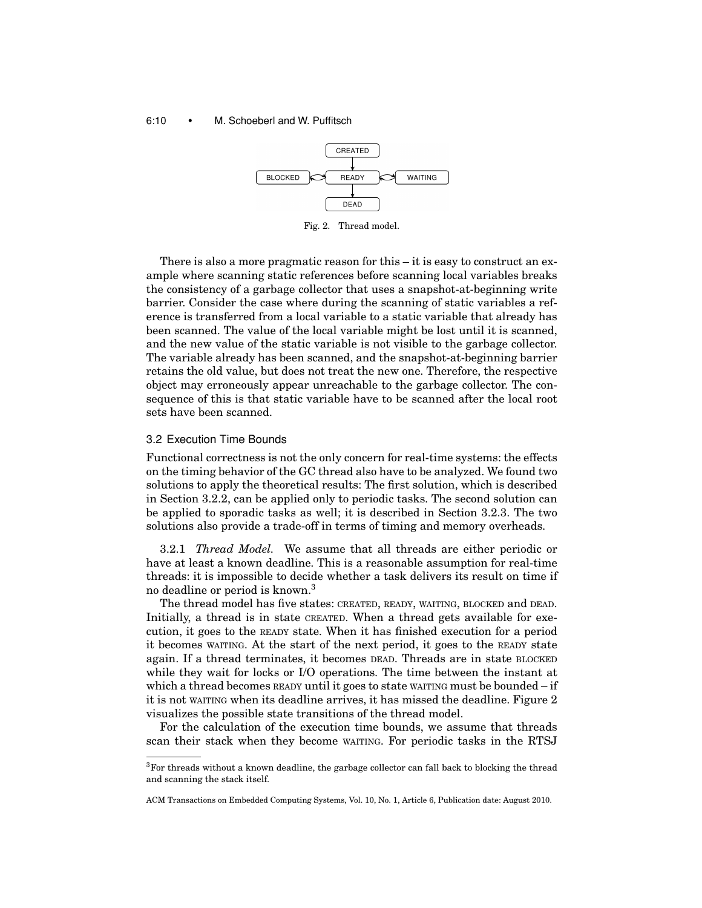#### 6:10 • M. Schoeberl and W. Puffitsch



Fig. 2. Thread model.

There is also a more pragmatic reason for this – it is easy to construct an example where scanning static references before scanning local variables breaks the consistency of a garbage collector that uses a snapshot-at-beginning write barrier. Consider the case where during the scanning of static variables a reference is transferred from a local variable to a static variable that already has been scanned. The value of the local variable might be lost until it is scanned, and the new value of the static variable is not visible to the garbage collector. The variable already has been scanned, and the snapshot-at-beginning barrier retains the old value, but does not treat the new one. Therefore, the respective object may erroneously appear unreachable to the garbage collector. The consequence of this is that static variable have to be scanned after the local root sets have been scanned.

#### 3.2 Execution Time Bounds

Functional correctness is not the only concern for real-time systems: the effects on the timing behavior of the GC thread also have to be analyzed. We found two solutions to apply the theoretical results: The first solution, which is described in Section 3.2.2, can be applied only to periodic tasks. The second solution can be applied to sporadic tasks as well; it is described in Section 3.2.3. The two solutions also provide a trade-off in terms of timing and memory overheads.

3.2.1 *Thread Model.* We assume that all threads are either periodic or have at least a known deadline. This is a reasonable assumption for real-time threads: it is impossible to decide whether a task delivers its result on time if no deadline or period is known.3

The thread model has five states: CREATED, READY, WAITING, BLOCKED and DEAD. Initially, a thread is in state CREATED. When a thread gets available for execution, it goes to the READY state. When it has finished execution for a period it becomes WAITING. At the start of the next period, it goes to the READY state again. If a thread terminates, it becomes DEAD. Threads are in state BLOCKED while they wait for locks or I/O operations. The time between the instant at which a thread becomes READY until it goes to state WAITING must be bounded – if it is not WAITING when its deadline arrives, it has missed the deadline. Figure 2 visualizes the possible state transitions of the thread model.

For the calculation of the execution time bounds, we assume that threads scan their stack when they become WAITING. For periodic tasks in the RTSJ

<sup>&</sup>lt;sup>3</sup>For threads without a known deadline, the garbage collector can fall back to blocking the thread and scanning the stack itself.

ACM Transactions on Embedded Computing Systems, Vol. 10, No. 1, Article 6, Publication date: August 2010.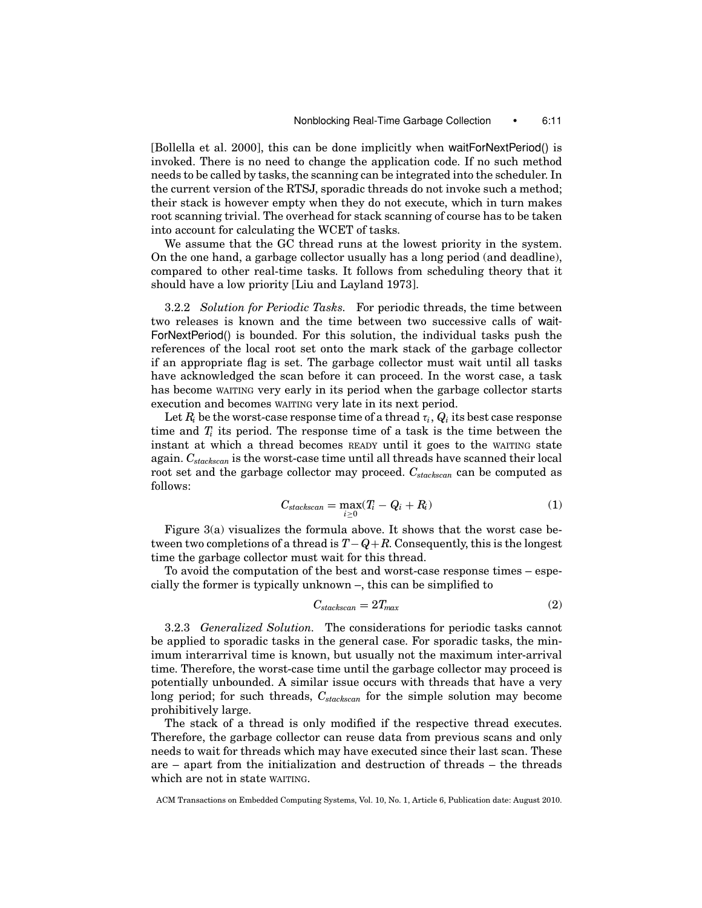[Bollella et al. 2000], this can be done implicitly when waitForNextPeriod() is invoked. There is no need to change the application code. If no such method needs to be called by tasks, the scanning can be integrated into the scheduler. In the current version of the RTSJ, sporadic threads do not invoke such a method; their stack is however empty when they do not execute, which in turn makes root scanning trivial. The overhead for stack scanning of course has to be taken into account for calculating the WCET of tasks.

We assume that the GC thread runs at the lowest priority in the system. On the one hand, a garbage collector usually has a long period (and deadline), compared to other real-time tasks. It follows from scheduling theory that it should have a low priority [Liu and Layland 1973].

3.2.2 *Solution for Periodic Tasks.* For periodic threads, the time between two releases is known and the time between two successive calls of wait-ForNextPeriod() is bounded. For this solution, the individual tasks push the references of the local root set onto the mark stack of the garbage collector if an appropriate flag is set. The garbage collector must wait until all tasks have acknowledged the scan before it can proceed. In the worst case, a task has become WAITING very early in its period when the garbage collector starts execution and becomes WAITING very late in its next period.

Let  $R_i$  be the worst-case response time of a thread  $\tau_i$ ,  $Q_i$  its best case response time and  $T_i$  its period. The response time of a task is the time between the instant at which a thread becomes READY until it goes to the WAITING state again. *Cstackscan* is the worst-case time until all threads have scanned their local root set and the garbage collector may proceed. *Cstackscan* can be computed as follows:

$$
C_{stackscan} = \max_{i \ge 0} (T_i - Q_i + R_i)
$$
 (1)

Figure 3(a) visualizes the formula above. It shows that the worst case between two completions of a thread is *T*−*Q*+*R*. Consequently, this is the longest time the garbage collector must wait for this thread.

To avoid the computation of the best and worst-case response times – especially the former is typically unknown –, this can be simplified to

$$
C_{stackscan} = 2T_{max} \tag{2}
$$

3.2.3 *Generalized Solution.* The considerations for periodic tasks cannot be applied to sporadic tasks in the general case. For sporadic tasks, the minimum interarrival time is known, but usually not the maximum inter-arrival time. Therefore, the worst-case time until the garbage collector may proceed is potentially unbounded. A similar issue occurs with threads that have a very long period; for such threads,  $C_{stackscan}$  for the simple solution may become prohibitively large.

The stack of a thread is only modified if the respective thread executes. Therefore, the garbage collector can reuse data from previous scans and only needs to wait for threads which may have executed since their last scan. These are – apart from the initialization and destruction of threads – the threads which are not in state WAITING.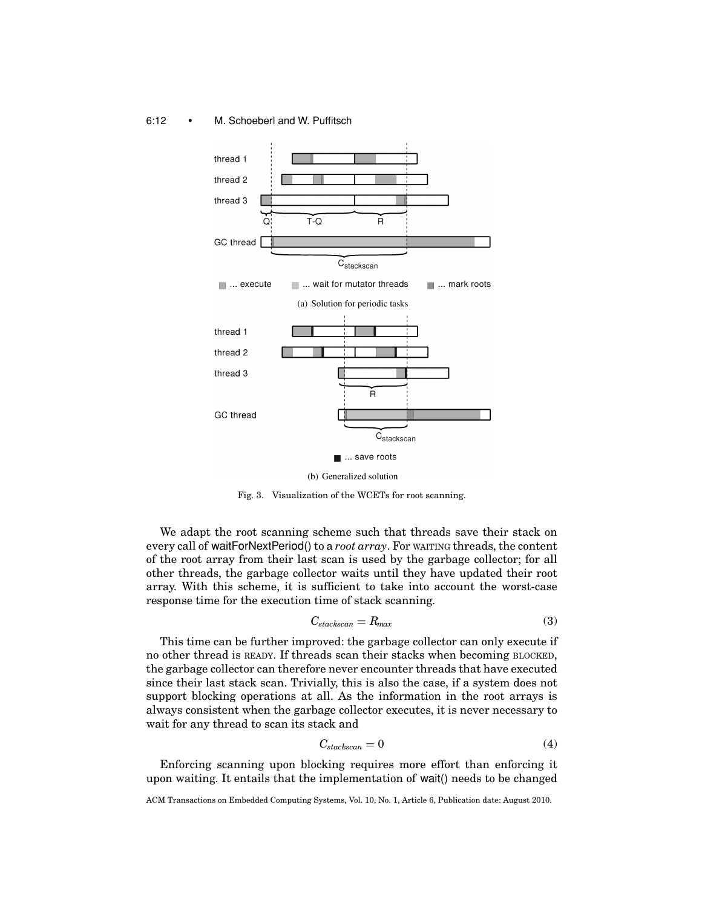#### 6:12 • M. Schoeberl and W. Puffitsch



(b) Generalized solution

Fig. 3. Visualization of the WCETs for root scanning.

We adapt the root scanning scheme such that threads save their stack on every call of waitForNextPeriod() to a *root array*. For WAITING threads, the content of the root array from their last scan is used by the garbage collector; for all other threads, the garbage collector waits until they have updated their root array. With this scheme, it is sufficient to take into account the worst-case response time for the execution time of stack scanning.

$$
C_{stackscan} = R_{max} \tag{3}
$$

This time can be further improved: the garbage collector can only execute if no other thread is READY. If threads scan their stacks when becoming BLOCKED, the garbage collector can therefore never encounter threads that have executed since their last stack scan. Trivially, this is also the case, if a system does not support blocking operations at all. As the information in the root arrays is always consistent when the garbage collector executes, it is never necessary to wait for any thread to scan its stack and

$$
C_{stackscan} = 0 \tag{4}
$$

Enforcing scanning upon blocking requires more effort than enforcing it upon waiting. It entails that the implementation of wait() needs to be changed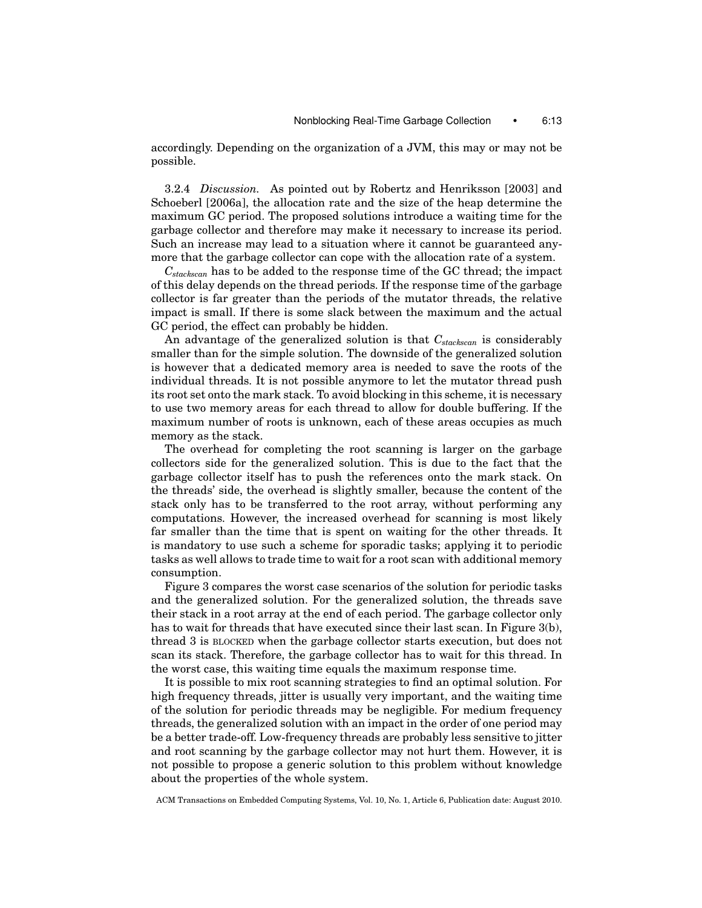accordingly. Depending on the organization of a JVM, this may or may not be possible.

3.2.4 *Discussion.* As pointed out by Robertz and Henriksson [2003] and Schoeberl [2006a], the allocation rate and the size of the heap determine the maximum GC period. The proposed solutions introduce a waiting time for the garbage collector and therefore may make it necessary to increase its period. Such an increase may lead to a situation where it cannot be guaranteed anymore that the garbage collector can cope with the allocation rate of a system.

*Cstackscan* has to be added to the response time of the GC thread; the impact of this delay depends on the thread periods. If the response time of the garbage collector is far greater than the periods of the mutator threads, the relative impact is small. If there is some slack between the maximum and the actual GC period, the effect can probably be hidden.

An advantage of the generalized solution is that *Cstackscan* is considerably smaller than for the simple solution. The downside of the generalized solution is however that a dedicated memory area is needed to save the roots of the individual threads. It is not possible anymore to let the mutator thread push its root set onto the mark stack. To avoid blocking in this scheme, it is necessary to use two memory areas for each thread to allow for double buffering. If the maximum number of roots is unknown, each of these areas occupies as much memory as the stack.

The overhead for completing the root scanning is larger on the garbage collectors side for the generalized solution. This is due to the fact that the garbage collector itself has to push the references onto the mark stack. On the threads' side, the overhead is slightly smaller, because the content of the stack only has to be transferred to the root array, without performing any computations. However, the increased overhead for scanning is most likely far smaller than the time that is spent on waiting for the other threads. It is mandatory to use such a scheme for sporadic tasks; applying it to periodic tasks as well allows to trade time to wait for a root scan with additional memory consumption.

Figure 3 compares the worst case scenarios of the solution for periodic tasks and the generalized solution. For the generalized solution, the threads save their stack in a root array at the end of each period. The garbage collector only has to wait for threads that have executed since their last scan. In Figure 3(b), thread 3 is BLOCKED when the garbage collector starts execution, but does not scan its stack. Therefore, the garbage collector has to wait for this thread. In the worst case, this waiting time equals the maximum response time.

It is possible to mix root scanning strategies to find an optimal solution. For high frequency threads, jitter is usually very important, and the waiting time of the solution for periodic threads may be negligible. For medium frequency threads, the generalized solution with an impact in the order of one period may be a better trade-off. Low-frequency threads are probably less sensitive to jitter and root scanning by the garbage collector may not hurt them. However, it is not possible to propose a generic solution to this problem without knowledge about the properties of the whole system.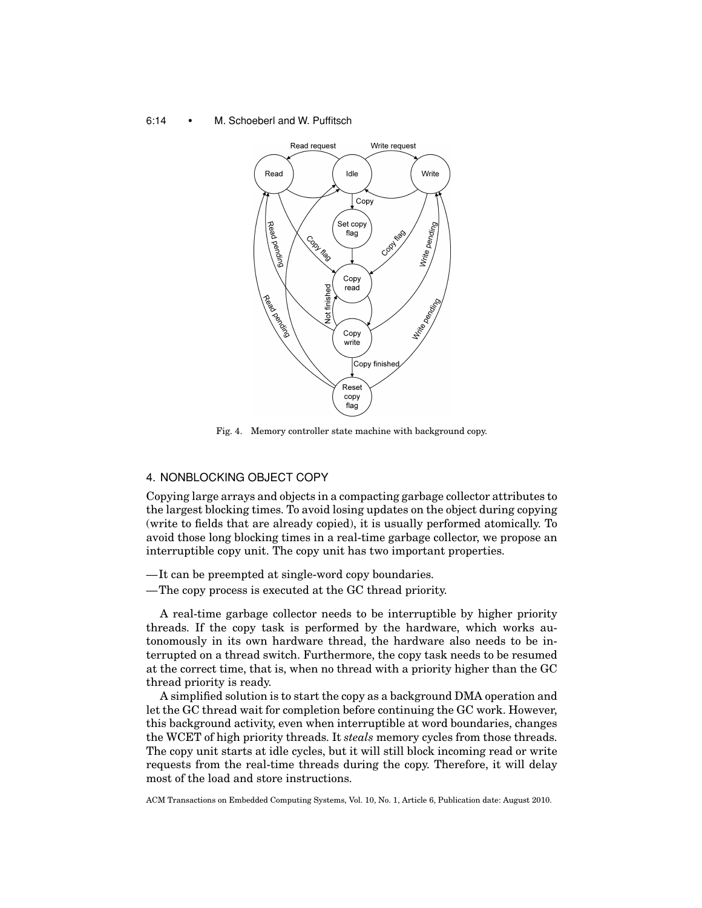#### 6:14 • M. Schoeberl and W. Puffitsch



Fig. 4. Memory controller state machine with background copy.

## 4. NONBLOCKING OBJECT COPY

Copying large arrays and objects in a compacting garbage collector attributes to the largest blocking times. To avoid losing updates on the object during copying (write to fields that are already copied), it is usually performed atomically. To avoid those long blocking times in a real-time garbage collector, we propose an interruptible copy unit. The copy unit has two important properties.

- —It can be preempted at single-word copy boundaries.
- —The copy process is executed at the GC thread priority.

A real-time garbage collector needs to be interruptible by higher priority threads. If the copy task is performed by the hardware, which works autonomously in its own hardware thread, the hardware also needs to be interrupted on a thread switch. Furthermore, the copy task needs to be resumed at the correct time, that is, when no thread with a priority higher than the GC thread priority is ready.

A simplified solution is to start the copy as a background DMA operation and let the GC thread wait for completion before continuing the GC work. However, this background activity, even when interruptible at word boundaries, changes the WCET of high priority threads. It *steals* memory cycles from those threads. The copy unit starts at idle cycles, but it will still block incoming read or write requests from the real-time threads during the copy. Therefore, it will delay most of the load and store instructions.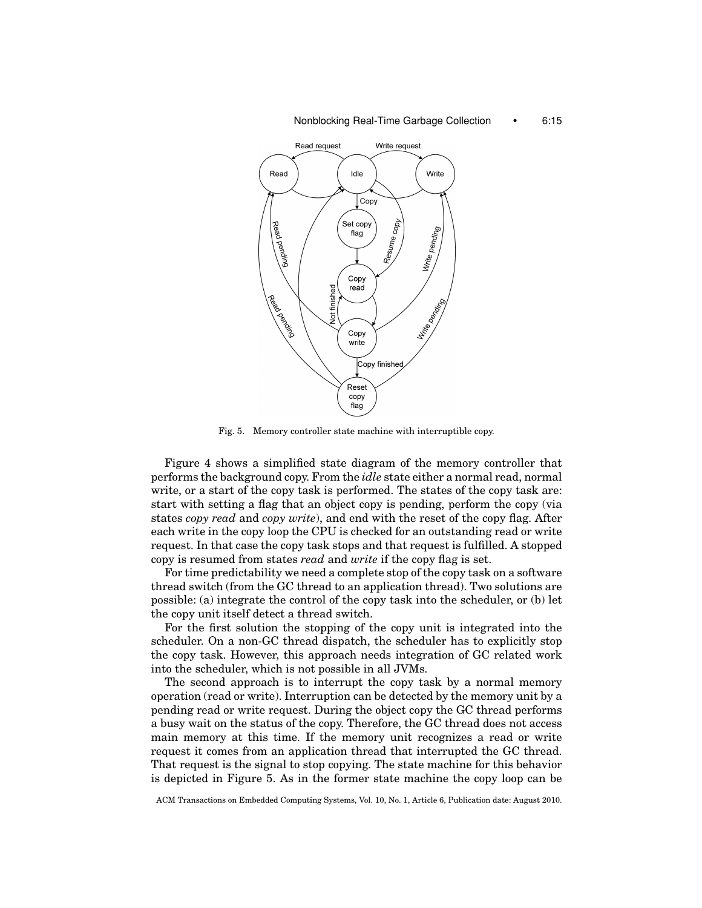#### Nonblocking Real-Time Garbage Collection • 6:15



Fig. 5. Memory controller state machine with interruptible copy.

Figure 4 shows a simplified state diagram of the memory controller that performs the background copy. From the *idle* state either a normal read, normal write, or a start of the copy task is performed. The states of the copy task are: start with setting a flag that an object copy is pending, perform the copy (via states *copy read* and *copy write*), and end with the reset of the copy flag. After each write in the copy loop the CPU is checked for an outstanding read or write request. In that case the copy task stops and that request is fulfilled. A stopped copy is resumed from states *read* and *write* if the copy flag is set.

For time predictability we need a complete stop of the copy task on a software thread switch (from the GC thread to an application thread). Two solutions are possible: (a) integrate the control of the copy task into the scheduler, or (b) let the copy unit itself detect a thread switch.

For the first solution the stopping of the copy unit is integrated into the scheduler. On a non-GC thread dispatch, the scheduler has to explicitly stop the copy task. However, this approach needs integration of GC related work into the scheduler, which is not possible in all JVMs.

The second approach is to interrupt the copy task by a normal memory operation (read or write). Interruption can be detected by the memory unit by a pending read or write request. During the object copy the GC thread performs a busy wait on the status of the copy. Therefore, the GC thread does not access main memory at this time. If the memory unit recognizes a read or write request it comes from an application thread that interrupted the GC thread. That request is the signal to stop copying. The state machine for this behavior is depicted in Figure 5. As in the former state machine the copy loop can be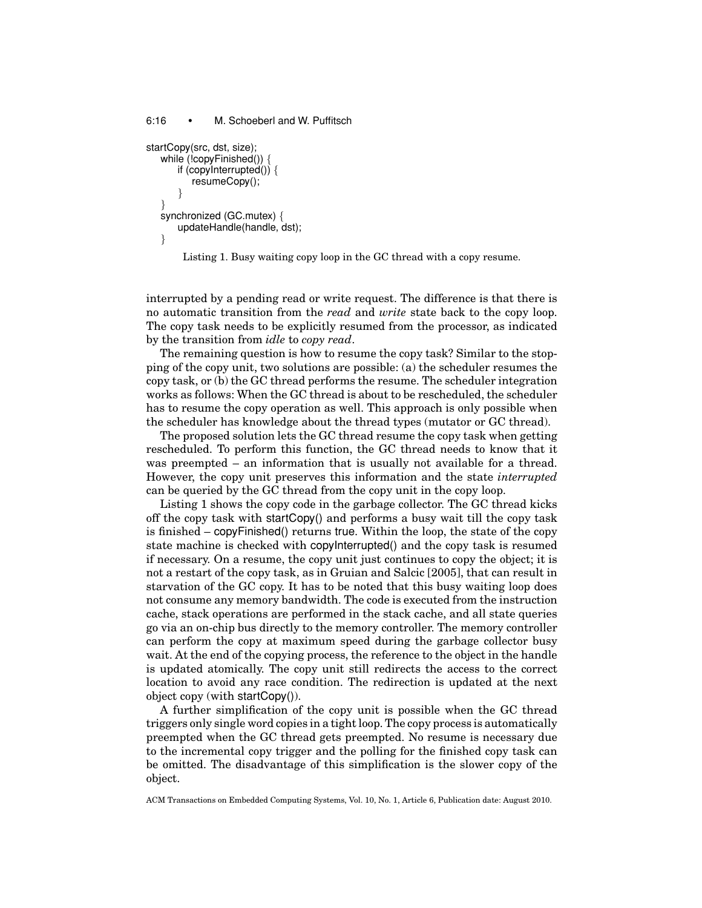```
6:16 • M. Schoeberl and W. Puffitsch
startCopy(src, dst, size);
  while (!copyFinished()) -
      if (copyInterrupted()) {
```

```
resumeCopy();
    }
}
synchronized (GC.mutex) {
   updateHandle(handle, dst);
```
}

Listing 1. Busy waiting copy loop in the GC thread with a copy resume.

interrupted by a pending read or write request. The difference is that there is no automatic transition from the *read* and *write* state back to the copy loop. The copy task needs to be explicitly resumed from the processor, as indicated by the transition from *idle* to *copy read*.

The remaining question is how to resume the copy task? Similar to the stopping of the copy unit, two solutions are possible: (a) the scheduler resumes the copy task, or (b) the GC thread performs the resume. The scheduler integration works as follows: When the GC thread is about to be rescheduled, the scheduler has to resume the copy operation as well. This approach is only possible when the scheduler has knowledge about the thread types (mutator or GC thread).

The proposed solution lets the GC thread resume the copy task when getting rescheduled. To perform this function, the GC thread needs to know that it was preempted – an information that is usually not available for a thread. However, the copy unit preserves this information and the state *interrupted* can be queried by the GC thread from the copy unit in the copy loop.

Listing 1 shows the copy code in the garbage collector. The GC thread kicks off the copy task with startCopy() and performs a busy wait till the copy task is finished – copyFinished() returns true. Within the loop, the state of the copy state machine is checked with copyInterrupted() and the copy task is resumed if necessary. On a resume, the copy unit just continues to copy the object; it is not a restart of the copy task, as in Gruian and Salcic [2005], that can result in starvation of the GC copy. It has to be noted that this busy waiting loop does not consume any memory bandwidth. The code is executed from the instruction cache, stack operations are performed in the stack cache, and all state queries go via an on-chip bus directly to the memory controller. The memory controller can perform the copy at maximum speed during the garbage collector busy wait. At the end of the copying process, the reference to the object in the handle is updated atomically. The copy unit still redirects the access to the correct location to avoid any race condition. The redirection is updated at the next object copy (with startCopy()).

A further simplification of the copy unit is possible when the GC thread triggers only single word copies in a tight loop. The copy process is automatically preempted when the GC thread gets preempted. No resume is necessary due to the incremental copy trigger and the polling for the finished copy task can be omitted. The disadvantage of this simplification is the slower copy of the object.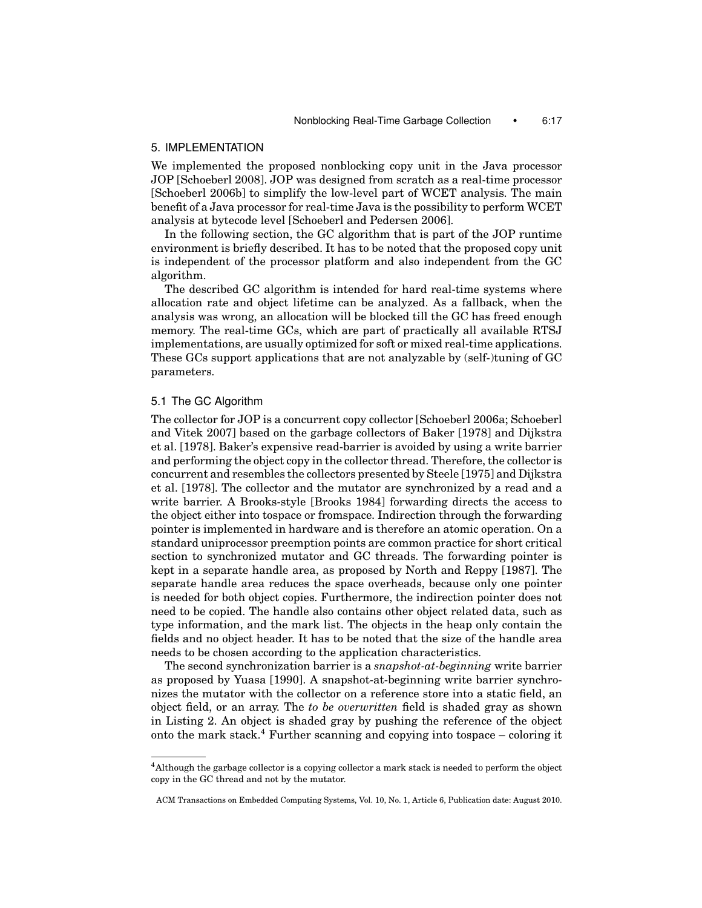## 5. IMPLEMENTATION

We implemented the proposed nonblocking copy unit in the Java processor JOP [Schoeberl 2008]. JOP was designed from scratch as a real-time processor [Schoeberl 2006b] to simplify the low-level part of WCET analysis. The main benefit of a Java processor for real-time Java is the possibility to perform WCET analysis at bytecode level [Schoeberl and Pedersen 2006].

In the following section, the GC algorithm that is part of the JOP runtime environment is briefly described. It has to be noted that the proposed copy unit is independent of the processor platform and also independent from the GC algorithm.

The described GC algorithm is intended for hard real-time systems where allocation rate and object lifetime can be analyzed. As a fallback, when the analysis was wrong, an allocation will be blocked till the GC has freed enough memory. The real-time GCs, which are part of practically all available RTSJ implementations, are usually optimized for soft or mixed real-time applications. These GCs support applications that are not analyzable by (self-)tuning of GC parameters.

## 5.1 The GC Algorithm

The collector for JOP is a concurrent copy collector [Schoeberl 2006a; Schoeberl and Vitek 2007] based on the garbage collectors of Baker [1978] and Dijkstra et al. [1978]. Baker's expensive read-barrier is avoided by using a write barrier and performing the object copy in the collector thread. Therefore, the collector is concurrent and resembles the collectors presented by Steele [1975] and Dijkstra et al. [1978]. The collector and the mutator are synchronized by a read and a write barrier. A Brooks-style [Brooks 1984] forwarding directs the access to the object either into tospace or fromspace. Indirection through the forwarding pointer is implemented in hardware and is therefore an atomic operation. On a standard uniprocessor preemption points are common practice for short critical section to synchronized mutator and GC threads. The forwarding pointer is kept in a separate handle area, as proposed by North and Reppy [1987]. The separate handle area reduces the space overheads, because only one pointer is needed for both object copies. Furthermore, the indirection pointer does not need to be copied. The handle also contains other object related data, such as type information, and the mark list. The objects in the heap only contain the fields and no object header. It has to be noted that the size of the handle area needs to be chosen according to the application characteristics.

The second synchronization barrier is a *snapshot-at-beginning* write barrier as proposed by Yuasa [1990]. A snapshot-at-beginning write barrier synchronizes the mutator with the collector on a reference store into a static field, an object field, or an array. The *to be overwritten* field is shaded gray as shown in Listing 2. An object is shaded gray by pushing the reference of the object onto the mark stack.<sup>4</sup> Further scanning and copying into tospace – coloring it

<sup>4</sup>Although the garbage collector is a copying collector a mark stack is needed to perform the object copy in the GC thread and not by the mutator.

ACM Transactions on Embedded Computing Systems, Vol. 10, No. 1, Article 6, Publication date: August 2010.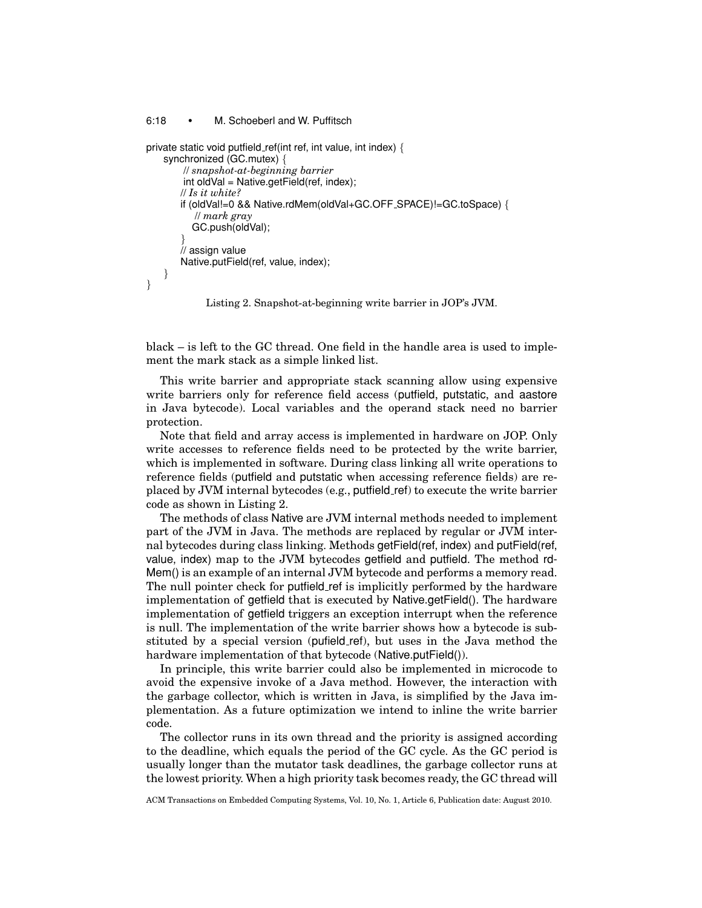#### 6:18 • M. Schoeberl and W. Puffitsch

```
private static void putfield ref(int ref, int value, int index) {
    synchronized (GC.mutex) {
        // snapshot-at-beginning barrier
        int oldVal = Native.getField(ref, index);
       // Is it white?
       if (oldVal!=0 && Native.rdMem(oldVal+GC.OFF SPACE)!=GC.toSpace) {
           // mark gray
          GC.push(oldVal);
        }
        assign value
       Native.putField(ref, value, index);
    }
}
```
Listing 2. Snapshot-at-beginning write barrier in JOP's JVM.

black – is left to the GC thread. One field in the handle area is used to implement the mark stack as a simple linked list.

This write barrier and appropriate stack scanning allow using expensive write barriers only for reference field access (putfield, putstatic, and aastore in Java bytecode). Local variables and the operand stack need no barrier protection.

Note that field and array access is implemented in hardware on JOP. Only write accesses to reference fields need to be protected by the write barrier, which is implemented in software. During class linking all write operations to reference fields (putfield and putstatic when accessing reference fields) are replaced by JVM internal bytecodes (e.g., putfield ref) to execute the write barrier code as shown in Listing 2.

The methods of class Native are JVM internal methods needed to implement part of the JVM in Java. The methods are replaced by regular or JVM internal bytecodes during class linking. Methods getField(ref, index) and putField(ref, value, index) map to the JVM bytecodes getfield and putfield. The method rd-Mem() is an example of an internal JVM bytecode and performs a memory read. The null pointer check for putfield ref is implicitly performed by the hardware implementation of getfield that is executed by Native.getField(). The hardware implementation of getfield triggers an exception interrupt when the reference is null. The implementation of the write barrier shows how a bytecode is substituted by a special version (pufield ref), but uses in the Java method the hardware implementation of that bytecode (Native.putField()).

In principle, this write barrier could also be implemented in microcode to avoid the expensive invoke of a Java method. However, the interaction with the garbage collector, which is written in Java, is simplified by the Java implementation. As a future optimization we intend to inline the write barrier code.

The collector runs in its own thread and the priority is assigned according to the deadline, which equals the period of the GC cycle. As the GC period is usually longer than the mutator task deadlines, the garbage collector runs at the lowest priority. When a high priority task becomes ready, the GC thread will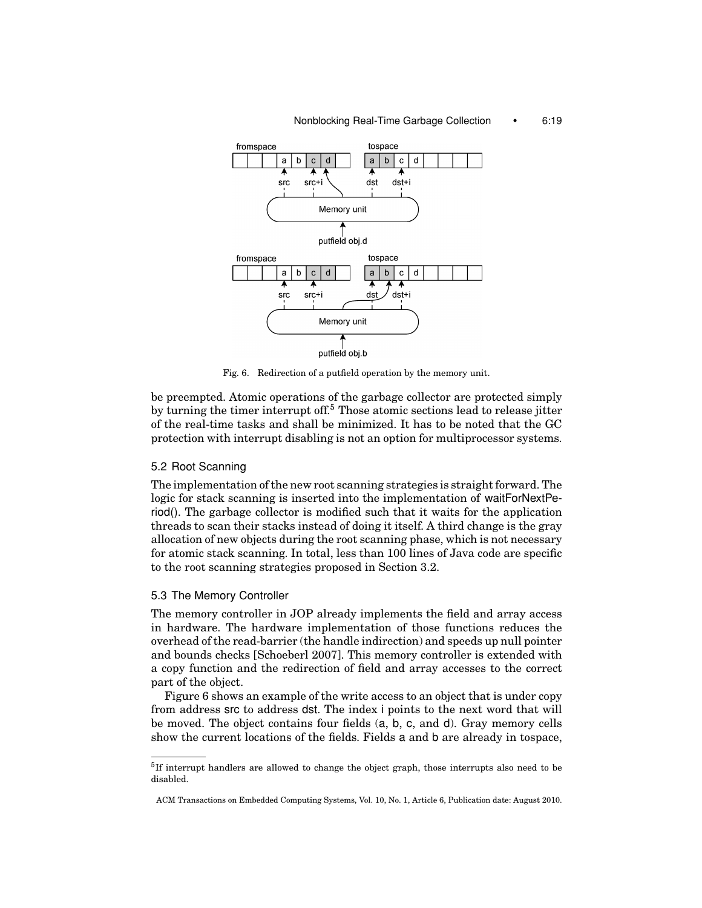#### Nonblocking Real-Time Garbage Collection • 6:19



Fig. 6. Redirection of a putfield operation by the memory unit.

be preempted. Atomic operations of the garbage collector are protected simply by turning the timer interrupt off.<sup>5</sup> Those atomic sections lead to release jitter of the real-time tasks and shall be minimized. It has to be noted that the GC protection with interrupt disabling is not an option for multiprocessor systems.

## 5.2 Root Scanning

The implementation of the new root scanning strategies is straight forward. The logic for stack scanning is inserted into the implementation of waitForNextPeriod(). The garbage collector is modified such that it waits for the application threads to scan their stacks instead of doing it itself. A third change is the gray allocation of new objects during the root scanning phase, which is not necessary for atomic stack scanning. In total, less than 100 lines of Java code are specific to the root scanning strategies proposed in Section 3.2.

#### 5.3 The Memory Controller

The memory controller in JOP already implements the field and array access in hardware. The hardware implementation of those functions reduces the overhead of the read-barrier (the handle indirection) and speeds up null pointer and bounds checks [Schoeberl 2007]. This memory controller is extended with a copy function and the redirection of field and array accesses to the correct part of the object.

Figure 6 shows an example of the write access to an object that is under copy from address src to address dst. The index i points to the next word that will be moved. The object contains four fields (a, b, c, and d). Gray memory cells show the current locations of the fields. Fields a and b are already in tospace,

 $5$ If interrupt handlers are allowed to change the object graph, those interrupts also need to be disabled.

ACM Transactions on Embedded Computing Systems, Vol. 10, No. 1, Article 6, Publication date: August 2010.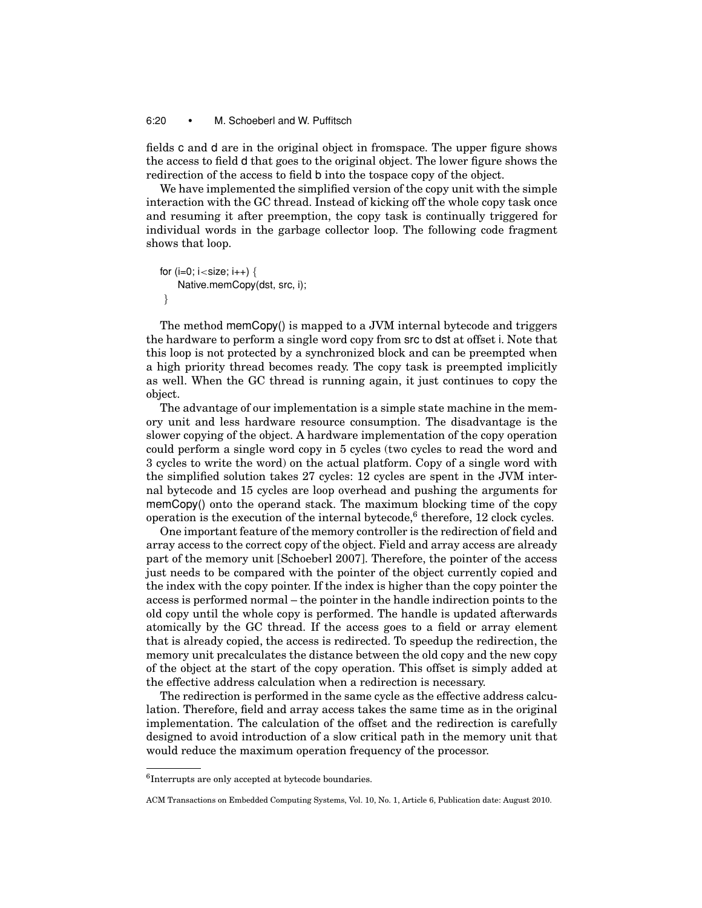## 6:20 • M. Schoeberl and W. Puffitsch

fields c and d are in the original object in fromspace. The upper figure shows the access to field d that goes to the original object. The lower figure shows the redirection of the access to field b into the tospace copy of the object.

We have implemented the simplified version of the copy unit with the simple interaction with the GC thread. Instead of kicking off the whole copy task once and resuming it after preemption, the copy task is continually triggered for individual words in the garbage collector loop. The following code fragment shows that loop.

```
for (i=0; i < size; i++) {
    Native.memCopy(dst, src, i);
 }
```
The method memCopy() is mapped to a JVM internal bytecode and triggers the hardware to perform a single word copy from src to dst at offset i. Note that this loop is not protected by a synchronized block and can be preempted when a high priority thread becomes ready. The copy task is preempted implicitly as well. When the GC thread is running again, it just continues to copy the object.

The advantage of our implementation is a simple state machine in the memory unit and less hardware resource consumption. The disadvantage is the slower copying of the object. A hardware implementation of the copy operation could perform a single word copy in 5 cycles (two cycles to read the word and 3 cycles to write the word) on the actual platform. Copy of a single word with the simplified solution takes 27 cycles: 12 cycles are spent in the JVM internal bytecode and 15 cycles are loop overhead and pushing the arguments for memCopy() onto the operand stack. The maximum blocking time of the copy operation is the execution of the internal bytecode, $6$  therefore, 12 clock cycles.

One important feature of the memory controller is the redirection of field and array access to the correct copy of the object. Field and array access are already part of the memory unit [Schoeberl 2007]. Therefore, the pointer of the access just needs to be compared with the pointer of the object currently copied and the index with the copy pointer. If the index is higher than the copy pointer the access is performed normal – the pointer in the handle indirection points to the old copy until the whole copy is performed. The handle is updated afterwards atomically by the GC thread. If the access goes to a field or array element that is already copied, the access is redirected. To speedup the redirection, the memory unit precalculates the distance between the old copy and the new copy of the object at the start of the copy operation. This offset is simply added at the effective address calculation when a redirection is necessary.

The redirection is performed in the same cycle as the effective address calculation. Therefore, field and array access takes the same time as in the original implementation. The calculation of the offset and the redirection is carefully designed to avoid introduction of a slow critical path in the memory unit that would reduce the maximum operation frequency of the processor.

<sup>6</sup>Interrupts are only accepted at bytecode boundaries.

ACM Transactions on Embedded Computing Systems, Vol. 10, No. 1, Article 6, Publication date: August 2010.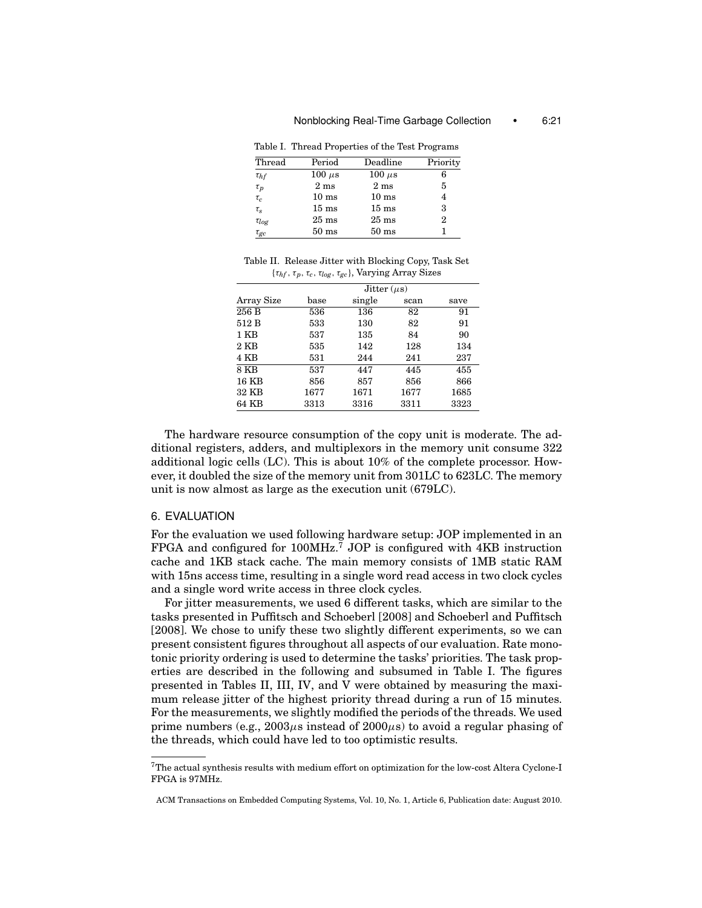|              | Table I. Thread Properties of the Test Programs |                 |          |
|--------------|-------------------------------------------------|-----------------|----------|
| Thread       | Period                                          | Deadline        | Priority |
| $\tau_{hf}$  | $100 \ \mu s$                                   | $100 \mu s$     | 6        |
| $\tau_p$     | 2 <sub>ms</sub>                                 | 2 <sub>ms</sub> | 5        |
| $\tau_c$     | $10 \text{ ms}$                                 | $10 \text{ ms}$ | 4        |
| $\tau_s$     | $15 \text{ ms}$                                 | $15 \text{ ms}$ | 3        |
| $\tau_{log}$ | $25 \text{ ms}$                                 | $25 \text{ ms}$ | 2        |
| $\tau_{gc}$  | $50 \text{ ms}$                                 | $50 \text{ ms}$ | 1        |

Table II. Release Jitter with Blocking Copy, Task Set {τ*hf* , τ*p*,τ*c*, τ*log*, τ*gc*}, Varying Array Sizes

|            | Jitter $(\mu s)$ |        |      |      |  |  |  |
|------------|------------------|--------|------|------|--|--|--|
| Array Size | base             | single | scan | save |  |  |  |
| 256 B      | 536              | 136    | 82   | 91   |  |  |  |
| 512 B      | 533              | 130    | 82   | 91   |  |  |  |
| 1 KB       | 537              | 135    | 84   | 90   |  |  |  |
| $2$ KB     | 535              | 142    | 128  | 134  |  |  |  |
| 4 KB       | 531              | 244    | 241  | 237  |  |  |  |
| 8 KB       | 537              | 447    | 445  | 455  |  |  |  |
| 16 KB      | 856              | 857    | 856  | 866  |  |  |  |
| 32 KB      | 1677             | 1671   | 1677 | 1685 |  |  |  |
| 64 KB      | 3313             | 3316   | 3311 | 3323 |  |  |  |

The hardware resource consumption of the copy unit is moderate. The additional registers, adders, and multiplexors in the memory unit consume 322 additional logic cells (LC). This is about 10% of the complete processor. However, it doubled the size of the memory unit from 301LC to 623LC. The memory unit is now almost as large as the execution unit (679LC).

#### 6. EVALUATION

For the evaluation we used following hardware setup: JOP implemented in an FPGA and configured for 100MHz.<sup>7</sup> JOP is configured with 4KB instruction cache and 1KB stack cache. The main memory consists of 1MB static RAM with 15ns access time, resulting in a single word read access in two clock cycles and a single word write access in three clock cycles.

For jitter measurements, we used 6 different tasks, which are similar to the tasks presented in Puffitsch and Schoeberl [2008] and Schoeberl and Puffitsch [2008]. We chose to unify these two slightly different experiments, so we can present consistent figures throughout all aspects of our evaluation. Rate monotonic priority ordering is used to determine the tasks' priorities. The task properties are described in the following and subsumed in Table I. The figures presented in Tables II, III, IV, and V were obtained by measuring the maximum release jitter of the highest priority thread during a run of 15 minutes. For the measurements, we slightly modified the periods of the threads. We used prime numbers (e.g.,  $2003\mu s$  instead of  $2000\mu s$ ) to avoid a regular phasing of the threads, which could have led to too optimistic results.

<sup>7</sup>The actual synthesis results with medium effort on optimization for the low-cost Altera Cyclone-I FPGA is 97MHz.

ACM Transactions on Embedded Computing Systems, Vol. 10, No. 1, Article 6, Publication date: August 2010.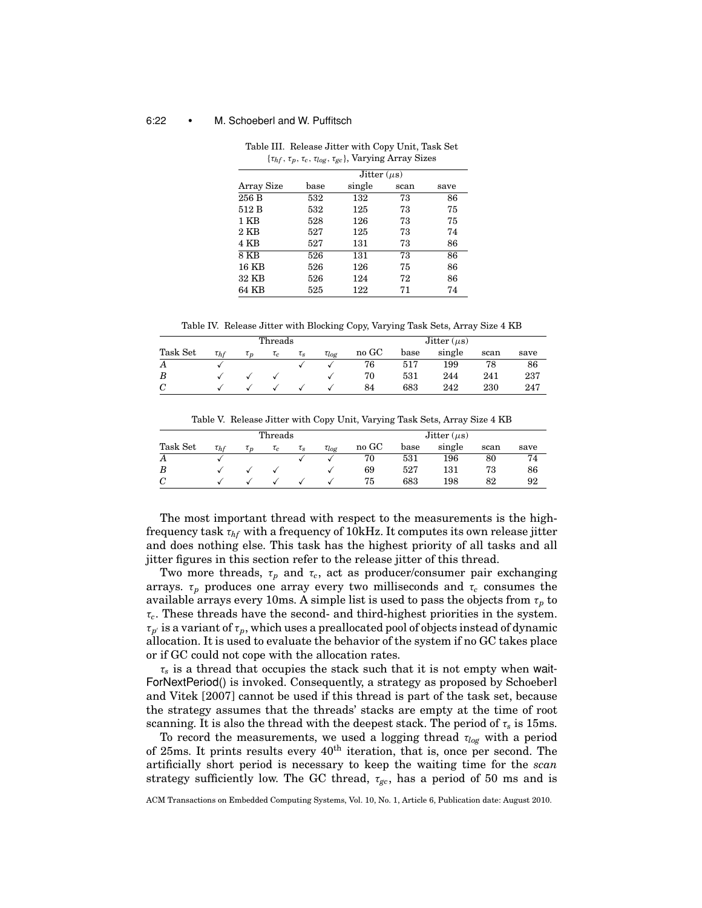#### 6:22 • M. Schoeberl and W. Puffitsch

|                | Jitter $(\mu s)$ |        |      |      |  |  |  |
|----------------|------------------|--------|------|------|--|--|--|
| Array Size     | base             | single | scan | save |  |  |  |
| 256 B          | 532              | 132    | 73   | 86   |  |  |  |
| 512 B          | 532              | 125    | 73   | 75   |  |  |  |
| 1 KB           | 528              | 126    | 73   | 75   |  |  |  |
| $2 \text{ KB}$ | 527              | 125    | 73   | 74   |  |  |  |
| 4 KB           | 527              | 131    | 73   | 86   |  |  |  |
| 8 KB           | 526              | 131    | 73   | 86   |  |  |  |
| 16 KB          | 526              | 126    | 75   | 86   |  |  |  |
| 32 KB          | 526              | 124    | 72   | 86   |  |  |  |
| 64 KB          | 525              | 122    | 71   | 74   |  |  |  |

Table III. Release Jitter with Copy Unit, Task Set {τ*hf* ,τ*p*, τ*c*, τ*log*, τ*gc*}, Varying Array Sizes

Table IV. Release Jitter with Blocking Copy, Varying Task Sets, Array Size 4 KB

|          |             |           | Threads  |          |              | Jitter $(\mu s)$ |      |        |      |      |
|----------|-------------|-----------|----------|----------|--------------|------------------|------|--------|------|------|
| Task Set | $\tau_{hf}$ | $\iota_n$ | $\tau_c$ | $\tau_s$ | $\tau_{log}$ | no GC            | base | single | scan | save |
| Α        |             |           |          |          |              | 76               | 517  | 199    | 78   | 86   |
| B        |             |           |          |          |              | 70               | 531  | 244    | 241  | 237  |
| C        |             |           |          |          |              | 84               | 683  | 242    | 230  | 247  |

Table V. Release Jitter with Copy Unit, Varying Task Sets, Array Size 4 KB

|          | Threads     |          |           |          |              | Jitter $(\mu s)$ |      |        |      |      |
|----------|-------------|----------|-----------|----------|--------------|------------------|------|--------|------|------|
| Task Set | $\tau_{hf}$ | $\tau_n$ | $\iota_c$ | $\tau_s$ | $\tau_{log}$ | no GC            | base | single | scan | save |
| Α        |             |          |           |          |              | 70               | 531  | 196    | 80   | 74   |
| B        |             |          |           |          |              | 69               | 527  | 131    | 73   | 86   |
| C        |             |          |           |          |              | 75               | 683  | 198    | 82   | 92   |

The most important thread with respect to the measurements is the highfrequency task τ*hf* with a frequency of 10kHz. It computes its own release jitter and does nothing else. This task has the highest priority of all tasks and all jitter figures in this section refer to the release jitter of this thread.

Two more threads,  $\tau_p$  and  $\tau_c$ , act as producer/consumer pair exchanging arrays.  $\tau_p$  produces one array every two milliseconds and  $\tau_c$  consumes the available arrays every 10ms. A simple list is used to pass the objects from  $\tau_p$  to τ*c*. These threads have the second- and third-highest priorities in the system.  $\tau_{p'}$  is a variant of  $\tau_p$ , which uses a preallocated pool of objects instead of dynamic allocation. It is used to evaluate the behavior of the system if no GC takes place or if GC could not cope with the allocation rates.

 $\tau_s$  is a thread that occupies the stack such that it is not empty when wait-ForNextPeriod() is invoked. Consequently, a strategy as proposed by Schoeberl and Vitek [2007] cannot be used if this thread is part of the task set, because the strategy assumes that the threads' stacks are empty at the time of root scanning. It is also the thread with the deepest stack. The period of  $\tau_s$  is 15ms.

To record the measurements, we used a logging thread τ*log* with a period of 25ms. It prints results every  $40<sup>th</sup>$  iteration, that is, once per second. The artificially short period is necessary to keep the waiting time for the *scan* strategy sufficiently low. The GC thread,  $\tau_{gc}$ , has a period of 50 ms and is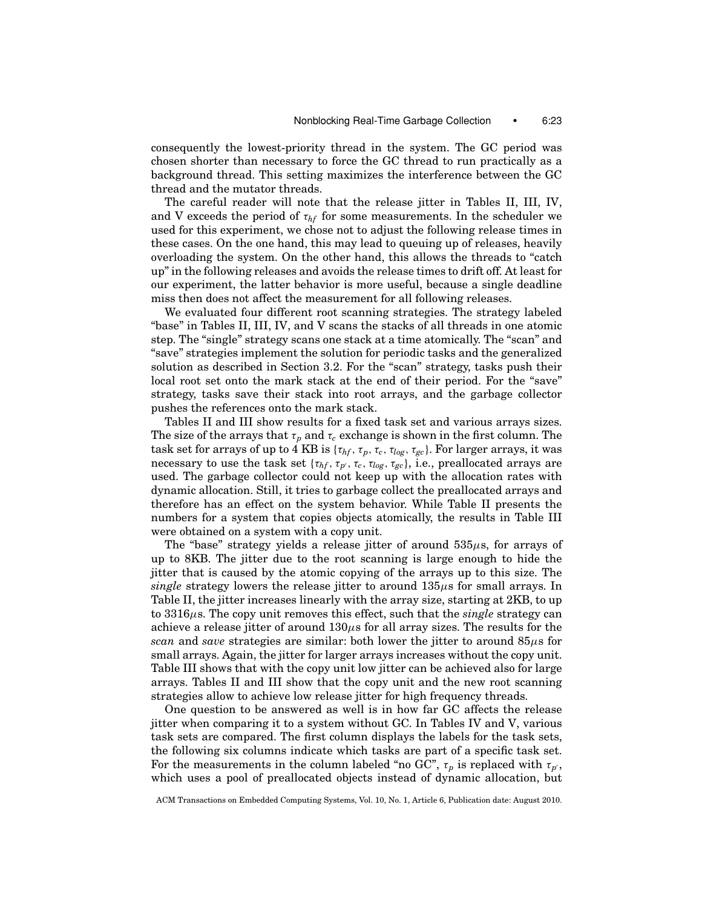consequently the lowest-priority thread in the system. The GC period was chosen shorter than necessary to force the GC thread to run practically as a background thread. This setting maximizes the interference between the GC thread and the mutator threads.

The careful reader will note that the release jitter in Tables II, III, IV, and V exceeds the period of  $\tau_{hf}$  for some measurements. In the scheduler we used for this experiment, we chose not to adjust the following release times in these cases. On the one hand, this may lead to queuing up of releases, heavily overloading the system. On the other hand, this allows the threads to "catch up" in the following releases and avoids the release times to drift off. At least for our experiment, the latter behavior is more useful, because a single deadline miss then does not affect the measurement for all following releases.

We evaluated four different root scanning strategies. The strategy labeled "base" in Tables II, III, IV, and V scans the stacks of all threads in one atomic step. The "single" strategy scans one stack at a time atomically. The "scan" and "save" strategies implement the solution for periodic tasks and the generalized solution as described in Section 3.2. For the "scan" strategy, tasks push their local root set onto the mark stack at the end of their period. For the "save" strategy, tasks save their stack into root arrays, and the garbage collector pushes the references onto the mark stack.

Tables II and III show results for a fixed task set and various arrays sizes. The size of the arrays that  $\tau_p$  and  $\tau_c$  exchange is shown in the first column. The task set for arrays of up to 4 KB is  $\{\tau_{hf}, \tau_p, \tau_c, \tau_{log}, \tau_{gc}\}$ . For larger arrays, it was necessary to use the task set  $\{\tau_{hf}, \tau_{p'}, \tau_c, \tau_{log}, \tau_{gc}\}$ , i.e., preallocated arrays are used. The garbage collector could not keep up with the allocation rates with dynamic allocation. Still, it tries to garbage collect the preallocated arrays and therefore has an effect on the system behavior. While Table II presents the numbers for a system that copies objects atomically, the results in Table III were obtained on a system with a copy unit.

The "base" strategy yields a release jitter of around  $535\mu s$ , for arrays of up to 8KB. The jitter due to the root scanning is large enough to hide the jitter that is caused by the atomic copying of the arrays up to this size. The *single* strategy lowers the release jitter to around 135μs for small arrays. In Table II, the jitter increases linearly with the array size, starting at 2KB, to up to 3316μs. The copy unit removes this effect, such that the *single* strategy can achieve a release jitter of around  $130\mu s$  for all array sizes. The results for the *scan* and *save* strategies are similar: both lower the jitter to around  $85\mu s$  for small arrays. Again, the jitter for larger arrays increases without the copy unit. Table III shows that with the copy unit low jitter can be achieved also for large arrays. Tables II and III show that the copy unit and the new root scanning strategies allow to achieve low release jitter for high frequency threads.

One question to be answered as well is in how far GC affects the release jitter when comparing it to a system without GC. In Tables IV and V, various task sets are compared. The first column displays the labels for the task sets, the following six columns indicate which tasks are part of a specific task set. For the measurements in the column labeled "no GC",  $\tau_p$  is replaced with  $\tau_p$ , which uses a pool of preallocated objects instead of dynamic allocation, but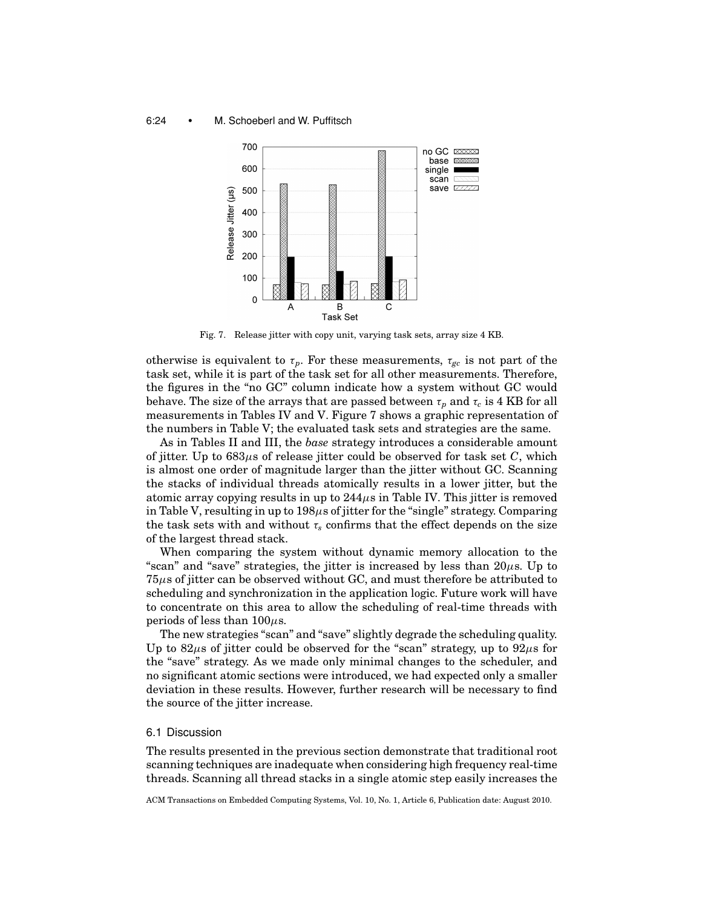#### 6:24 • M. Schoeberl and W. Puffitsch



Fig. 7. Release jitter with copy unit, varying task sets, array size 4 KB.

otherwise is equivalent to  $\tau_p$ . For these measurements,  $\tau_{gc}$  is not part of the task set, while it is part of the task set for all other measurements. Therefore, the figures in the "no GC" column indicate how a system without GC would behave. The size of the arrays that are passed between  $\tau_p$  and  $\tau_c$  is 4 KB for all measurements in Tables IV and V. Figure 7 shows a graphic representation of the numbers in Table V; the evaluated task sets and strategies are the same.

As in Tables II and III, the *base* strategy introduces a considerable amount of jitter. Up to 683μs of release jitter could be observed for task set *C*, which is almost one order of magnitude larger than the jitter without GC. Scanning the stacks of individual threads atomically results in a lower jitter, but the atomic array copying results in up to  $244\mu s$  in Table IV. This jitter is removed in Table V, resulting in up to  $198\mu s$  of jitter for the "single" strategy. Comparing the task sets with and without  $\tau_s$  confirms that the effect depends on the size of the largest thread stack.

When comparing the system without dynamic memory allocation to the "scan" and "save" strategies, the jitter is increased by less than  $20\mu$ s. Up to  $75\mu s$  of jitter can be observed without GC, and must therefore be attributed to scheduling and synchronization in the application logic. Future work will have to concentrate on this area to allow the scheduling of real-time threads with periods of less than  $100\mu$ s.

The new strategies "scan" and "save" slightly degrade the scheduling quality. Up to 82 $\mu$ s of jitter could be observed for the "scan" strategy, up to 92 $\mu$ s for the "save" strategy. As we made only minimal changes to the scheduler, and no significant atomic sections were introduced, we had expected only a smaller deviation in these results. However, further research will be necessary to find the source of the jitter increase.

# 6.1 Discussion

The results presented in the previous section demonstrate that traditional root scanning techniques are inadequate when considering high frequency real-time threads. Scanning all thread stacks in a single atomic step easily increases the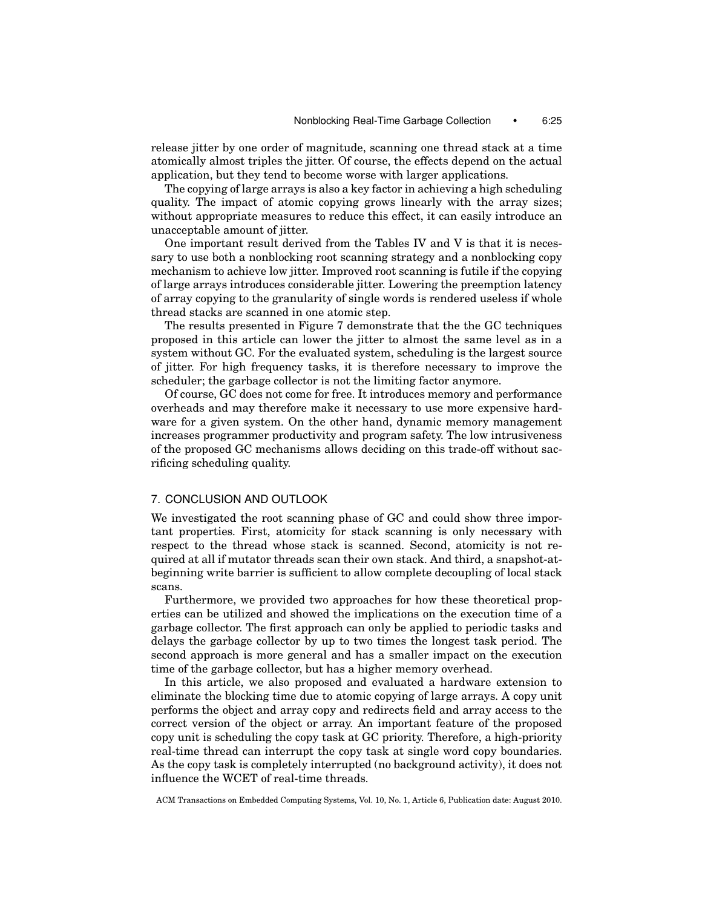release jitter by one order of magnitude, scanning one thread stack at a time atomically almost triples the jitter. Of course, the effects depend on the actual application, but they tend to become worse with larger applications.

The copying of large arrays is also a key factor in achieving a high scheduling quality. The impact of atomic copying grows linearly with the array sizes; without appropriate measures to reduce this effect, it can easily introduce an unacceptable amount of jitter.

One important result derived from the Tables IV and V is that it is necessary to use both a nonblocking root scanning strategy and a nonblocking copy mechanism to achieve low jitter. Improved root scanning is futile if the copying of large arrays introduces considerable jitter. Lowering the preemption latency of array copying to the granularity of single words is rendered useless if whole thread stacks are scanned in one atomic step.

The results presented in Figure 7 demonstrate that the the GC techniques proposed in this article can lower the jitter to almost the same level as in a system without GC. For the evaluated system, scheduling is the largest source of jitter. For high frequency tasks, it is therefore necessary to improve the scheduler; the garbage collector is not the limiting factor anymore.

Of course, GC does not come for free. It introduces memory and performance overheads and may therefore make it necessary to use more expensive hardware for a given system. On the other hand, dynamic memory management increases programmer productivity and program safety. The low intrusiveness of the proposed GC mechanisms allows deciding on this trade-off without sacrificing scheduling quality.

# 7. CONCLUSION AND OUTLOOK

We investigated the root scanning phase of GC and could show three important properties. First, atomicity for stack scanning is only necessary with respect to the thread whose stack is scanned. Second, atomicity is not required at all if mutator threads scan their own stack. And third, a snapshot-atbeginning write barrier is sufficient to allow complete decoupling of local stack scans.

Furthermore, we provided two approaches for how these theoretical properties can be utilized and showed the implications on the execution time of a garbage collector. The first approach can only be applied to periodic tasks and delays the garbage collector by up to two times the longest task period. The second approach is more general and has a smaller impact on the execution time of the garbage collector, but has a higher memory overhead.

In this article, we also proposed and evaluated a hardware extension to eliminate the blocking time due to atomic copying of large arrays. A copy unit performs the object and array copy and redirects field and array access to the correct version of the object or array. An important feature of the proposed copy unit is scheduling the copy task at GC priority. Therefore, a high-priority real-time thread can interrupt the copy task at single word copy boundaries. As the copy task is completely interrupted (no background activity), it does not influence the WCET of real-time threads.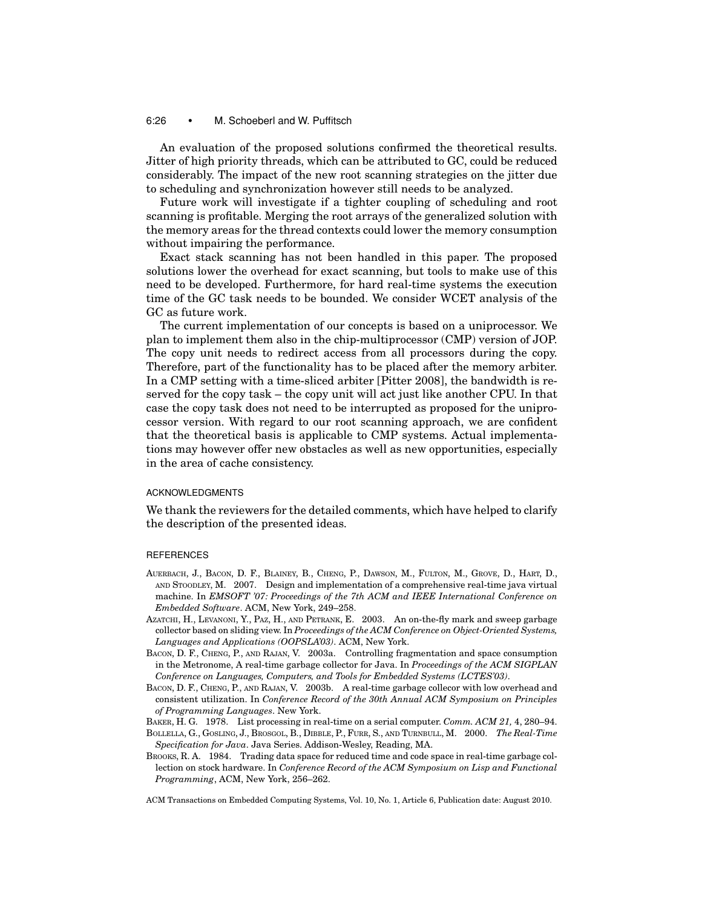## 6:26 • M. Schoeberl and W. Puffitsch

An evaluation of the proposed solutions confirmed the theoretical results. Jitter of high priority threads, which can be attributed to GC, could be reduced considerably. The impact of the new root scanning strategies on the jitter due to scheduling and synchronization however still needs to be analyzed.

Future work will investigate if a tighter coupling of scheduling and root scanning is profitable. Merging the root arrays of the generalized solution with the memory areas for the thread contexts could lower the memory consumption without impairing the performance.

Exact stack scanning has not been handled in this paper. The proposed solutions lower the overhead for exact scanning, but tools to make use of this need to be developed. Furthermore, for hard real-time systems the execution time of the GC task needs to be bounded. We consider WCET analysis of the GC as future work.

The current implementation of our concepts is based on a uniprocessor. We plan to implement them also in the chip-multiprocessor (CMP) version of JOP. The copy unit needs to redirect access from all processors during the copy. Therefore, part of the functionality has to be placed after the memory arbiter. In a CMP setting with a time-sliced arbiter [Pitter 2008], the bandwidth is reserved for the copy task – the copy unit will act just like another CPU. In that case the copy task does not need to be interrupted as proposed for the uniprocessor version. With regard to our root scanning approach, we are confident that the theoretical basis is applicable to CMP systems. Actual implementations may however offer new obstacles as well as new opportunities, especially in the area of cache consistency.

#### ACKNOWLEDGMENTS

We thank the reviewers for the detailed comments, which have helped to clarify the description of the presented ideas.

#### **REFERENCES**

- AUERBACH, J., BACON, D. F., BLAINEY, B., CHENG, P., DAWSON, M., FULTON, M., GROVE, D., HART, D., AND STOODLEY, M. 2007. Design and implementation of a comprehensive real-time java virtual machine. In *EMSOFT '07: Proceedings of the 7th ACM and IEEE International Conference on Embedded Software*. ACM, New York, 249–258.
- AZATCHI, H., LEVANONI, Y., PAZ, H., AND PETRANK, E. 2003. An on-the-fly mark and sweep garbage collector based on sliding view. In *Proceedings of the ACM Conference on Object-Oriented Systems, Languages and Applications (OOPSLA'03)*. ACM, New York.
- BACON, D. F., CHENG, P., AND RAJAN, V. 2003a. Controlling fragmentation and space consumption in the Metronome, A real-time garbage collector for Java. In *Proceedings of the ACM SIGPLAN Conference on Languages, Computers, and Tools for Embedded Systems (LCTES'03)*.
- BACON, D. F., CHENG, P., AND RAJAN, V. 2003b. A real-time garbage collecor with low overhead and consistent utilization. In *Conference Record of the 30th Annual ACM Symposium on Principles of Programming Languages*. New York.
- BAKER, H. G. 1978. List processing in real-time on a serial computer. *Comm. ACM 21,* 4, 280–94.
- BOLLELLA, G., GOSLING, J., BROSGOL, B., DIBBLE, P., FURR, S., AND TURNBULL, M. 2000. *The Real-Time Specification for Java*. Java Series. Addison-Wesley, Reading, MA.
- BROOKS, R. A. 1984. Trading data space for reduced time and code space in real-time garbage collection on stock hardware. In *Conference Record of the ACM Symposium on Lisp and Functional Programming*, ACM, New York, 256–262.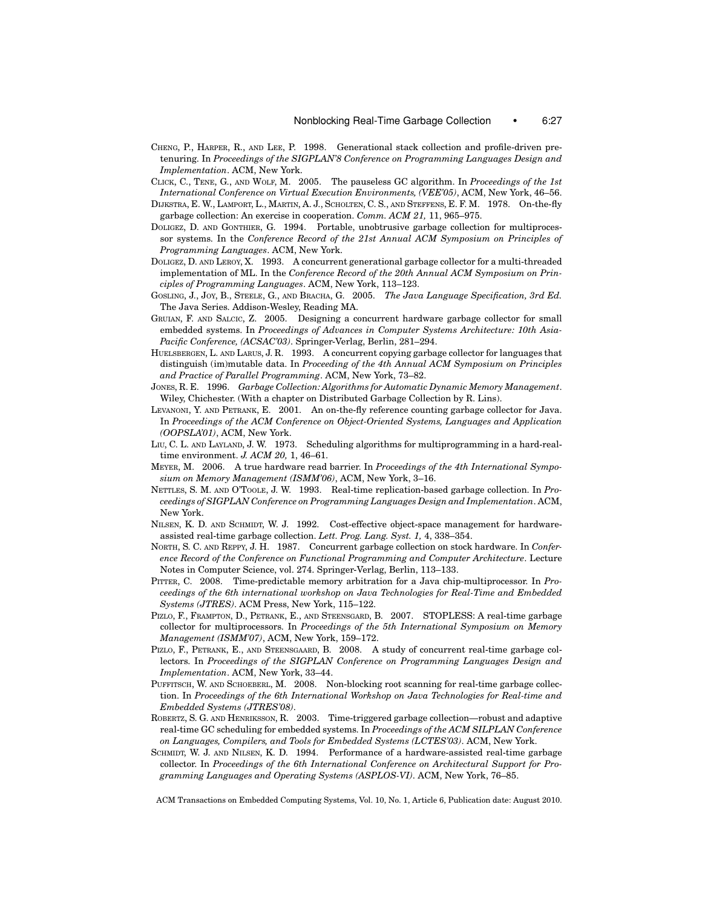- CHENG, P., HARPER, R., AND LEE, P. 1998. Generational stack collection and profile-driven pretenuring. In *Proceedings of the SIGPLAN'8 Conference on Programming Languages Design and Implementation*. ACM, New York.
- CLICK, C., TENE, G., AND WOLF, M. 2005. The pauseless GC algorithm. In *Proceedings of the 1st International Conference on Virtual Execution Environments, (VEE'05)*, ACM, New York, 46–56.
- DIJKSTRA, E. W., LAMPORT, L., MARTIN, A. J., SCHOLTEN, C. S., AND STEFFENS, E. F. M. 1978. On-the-fly garbage collection: An exercise in cooperation. *Comm. ACM 21,* 11, 965–975.
- DOLIGEZ, D. AND GONTHIER, G. 1994. Portable, unobtrusive garbage collection for multiprocessor systems. In the *Conference Record of the 21st Annual ACM Symposium on Principles of Programming Languages*. ACM, New York.
- DOLIGEZ, D. AND LEROY, X. 1993. A concurrent generational garbage collector for a multi-threaded implementation of ML. In the *Conference Record of the 20th Annual ACM Symposium on Principles of Programming Languages*. ACM, New York, 113–123.
- GOSLING, J., JOY, B., STEELE, G., AND BRACHA, G. 2005. *The Java Language Specification, 3rd Ed.* The Java Series. Addison-Wesley, Reading MA.
- GRUIAN, F. AND SALCIC, Z. 2005. Designing a concurrent hardware garbage collector for small embedded systems. In *Proceedings of Advances in Computer Systems Architecture: 10th Asia-Pacific Conference, (ACSAC'03)*. Springer-Verlag, Berlin, 281–294.
- HUELSBERGEN, L. AND LARUS, J. R. 1993. A concurrent copying garbage collector for languages that distinguish (im)mutable data. In *Proceeding of the 4th Annual ACM Symposium on Principles and Practice of Parallel Programming*. ACM, New York, 73–82.
- JONES, R. E. 1996. *Garbage Collection: Algorithms for Automatic Dynamic Memory Management*. Wiley, Chichester. (With a chapter on Distributed Garbage Collection by R. Lins).
- LEVANONI, Y. AND PETRANK, E. 2001. An on-the-fly reference counting garbage collector for Java. In *Proceedings of the ACM Conference on Object-Oriented Systems, Languages and Application (OOPSLA'01)*, ACM, New York.
- LIU, C. L. AND LAYLAND, J. W. 1973. Scheduling algorithms for multiprogramming in a hard-realtime environment. *J. ACM 20,* 1, 46–61.
- MEYER, M. 2006. A true hardware read barrier. In *Proceedings of the 4th International Symposium on Memory Management (ISMM'06)*, ACM, New York, 3–16.
- NETTLES, S. M. AND O'TOOLE, J. W. 1993. Real-time replication-based garbage collection. In *Proceedings of SIGPLAN Conference on Programming Languages Design and Implementation*. ACM, New York.
- NILSEN, K. D. AND SCHMIDT, W. J. 1992. Cost-effective object-space management for hardwareassisted real-time garbage collection. *Lett. Prog. Lang. Syst. 1,* 4, 338–354.
- NORTH, S. C. AND REPPY, J. H. 1987. Concurrent garbage collection on stock hardware. In *Conference Record of the Conference on Functional Programming and Computer Architecture*. Lecture Notes in Computer Science, vol. 274. Springer-Verlag, Berlin, 113–133.
- PITTER, C. 2008. Time-predictable memory arbitration for a Java chip-multiprocessor. In *Proceedings of the 6th international workshop on Java Technologies for Real-Time and Embedded Systems (JTRES)*. ACM Press, New York, 115–122.
- PIZLO, F., FRAMPTON, D., PETRANK, E., AND STEENSGARD, B. 2007. STOPLESS: A real-time garbage collector for multiprocessors. In *Proceedings of the 5th International Symposium on Memory Management (ISMM'07)*, ACM, New York, 159–172.
- PIZLO, F., PETRANK, E., AND STEENSGAARD, B. 2008. A study of concurrent real-time garbage collectors. In *Proceedings of the SIGPLAN Conference on Programming Languages Design and Implementation*. ACM, New York, 33–44.
- PUFFITSCH, W. AND SCHOEBERL, M. 2008. Non-blocking root scanning for real-time garbage collection. In *Proceedings of the 6th International Workshop on Java Technologies for Real-time and Embedded Systems (JTRES'08)*.
- ROBERTZ, S. G. AND HENRIKSSON, R. 2003. Time-triggered garbage collection—robust and adaptive real-time GC scheduling for embedded systems. In *Proceedings of the ACM SILPLAN Conference on Languages, Compilers, and Tools for Embedded Systems (LCTES'03)*. ACM, New York.
- SCHMIDT, W. J. AND NILSEN, K. D. 1994. Performance of a hardware-assisted real-time garbage collector. In *Proceedings of the 6th International Conference on Architectural Support for Programming Languages and Operating Systems (ASPLOS-VI)*. ACM, New York, 76–85.